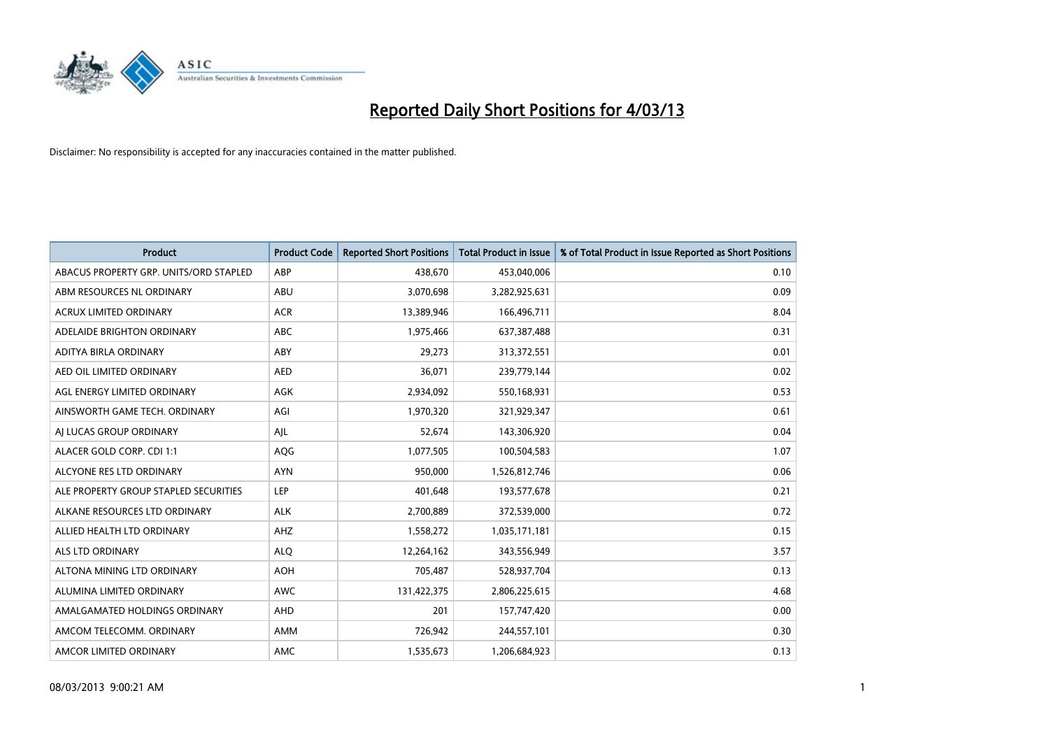

| <b>Product</b>                         | <b>Product Code</b> | <b>Reported Short Positions</b> | <b>Total Product in Issue</b> | % of Total Product in Issue Reported as Short Positions |
|----------------------------------------|---------------------|---------------------------------|-------------------------------|---------------------------------------------------------|
| ABACUS PROPERTY GRP. UNITS/ORD STAPLED | ABP                 | 438.670                         | 453,040,006                   | 0.10                                                    |
| ABM RESOURCES NL ORDINARY              | <b>ABU</b>          | 3,070,698                       | 3,282,925,631                 | 0.09                                                    |
| ACRUX LIMITED ORDINARY                 | <b>ACR</b>          | 13,389,946                      | 166,496,711                   | 8.04                                                    |
| ADELAIDE BRIGHTON ORDINARY             | <b>ABC</b>          | 1,975,466                       | 637,387,488                   | 0.31                                                    |
| ADITYA BIRLA ORDINARY                  | ABY                 | 29,273                          | 313,372,551                   | 0.01                                                    |
| AED OIL LIMITED ORDINARY               | <b>AED</b>          | 36,071                          | 239,779,144                   | 0.02                                                    |
| AGL ENERGY LIMITED ORDINARY            | AGK                 | 2,934,092                       | 550,168,931                   | 0.53                                                    |
| AINSWORTH GAME TECH. ORDINARY          | AGI                 | 1,970,320                       | 321,929,347                   | 0.61                                                    |
| AI LUCAS GROUP ORDINARY                | AJL                 | 52,674                          | 143,306,920                   | 0.04                                                    |
| ALACER GOLD CORP. CDI 1:1              | <b>AQG</b>          | 1,077,505                       | 100,504,583                   | 1.07                                                    |
| ALCYONE RES LTD ORDINARY               | <b>AYN</b>          | 950,000                         | 1,526,812,746                 | 0.06                                                    |
| ALE PROPERTY GROUP STAPLED SECURITIES  | LEP                 | 401,648                         | 193,577,678                   | 0.21                                                    |
| ALKANE RESOURCES LTD ORDINARY          | <b>ALK</b>          | 2,700,889                       | 372,539,000                   | 0.72                                                    |
| ALLIED HEALTH LTD ORDINARY             | AHZ                 | 1,558,272                       | 1,035,171,181                 | 0.15                                                    |
| ALS LTD ORDINARY                       | <b>ALQ</b>          | 12,264,162                      | 343,556,949                   | 3.57                                                    |
| ALTONA MINING LTD ORDINARY             | <b>AOH</b>          | 705,487                         | 528,937,704                   | 0.13                                                    |
| ALUMINA LIMITED ORDINARY               | <b>AWC</b>          | 131,422,375                     | 2,806,225,615                 | 4.68                                                    |
| AMALGAMATED HOLDINGS ORDINARY          | AHD                 | 201                             | 157,747,420                   | 0.00                                                    |
| AMCOM TELECOMM. ORDINARY               | AMM                 | 726,942                         | 244,557,101                   | 0.30                                                    |
| AMCOR LIMITED ORDINARY                 | AMC                 | 1,535,673                       | 1,206,684,923                 | 0.13                                                    |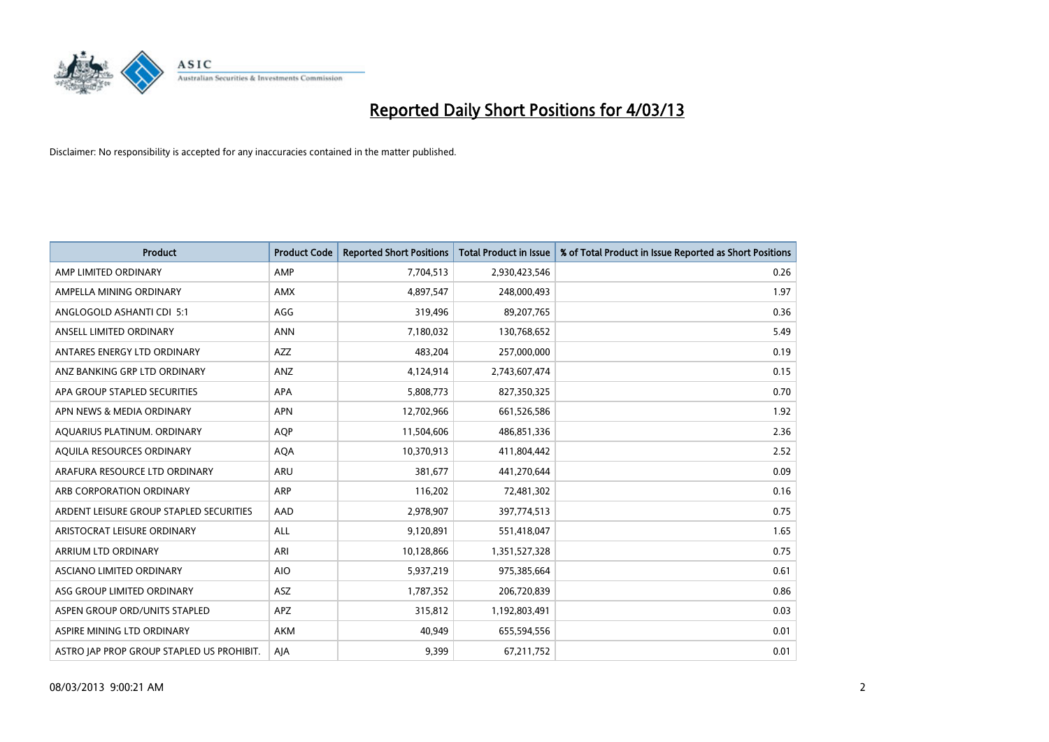

| <b>Product</b>                            | <b>Product Code</b> | <b>Reported Short Positions</b> | <b>Total Product in Issue</b> | % of Total Product in Issue Reported as Short Positions |
|-------------------------------------------|---------------------|---------------------------------|-------------------------------|---------------------------------------------------------|
| AMP LIMITED ORDINARY                      | AMP                 | 7,704,513                       | 2,930,423,546                 | 0.26                                                    |
| AMPELLA MINING ORDINARY                   | <b>AMX</b>          | 4,897,547                       | 248,000,493                   | 1.97                                                    |
| ANGLOGOLD ASHANTI CDI 5:1                 | AGG                 | 319,496                         | 89,207,765                    | 0.36                                                    |
| ANSELL LIMITED ORDINARY                   | <b>ANN</b>          | 7,180,032                       | 130,768,652                   | 5.49                                                    |
| ANTARES ENERGY LTD ORDINARY               | <b>AZZ</b>          | 483,204                         | 257,000,000                   | 0.19                                                    |
| ANZ BANKING GRP LTD ORDINARY              | <b>ANZ</b>          | 4,124,914                       | 2,743,607,474                 | 0.15                                                    |
| APA GROUP STAPLED SECURITIES              | <b>APA</b>          | 5,808,773                       | 827,350,325                   | 0.70                                                    |
| APN NEWS & MEDIA ORDINARY                 | <b>APN</b>          | 12,702,966                      | 661,526,586                   | 1.92                                                    |
| AQUARIUS PLATINUM. ORDINARY               | <b>AOP</b>          | 11,504,606                      | 486,851,336                   | 2.36                                                    |
| AQUILA RESOURCES ORDINARY                 | AQA                 | 10,370,913                      | 411,804,442                   | 2.52                                                    |
| ARAFURA RESOURCE LTD ORDINARY             | <b>ARU</b>          | 381,677                         | 441,270,644                   | 0.09                                                    |
| ARB CORPORATION ORDINARY                  | ARP                 | 116,202                         | 72,481,302                    | 0.16                                                    |
| ARDENT LEISURE GROUP STAPLED SECURITIES   | AAD                 | 2,978,907                       | 397,774,513                   | 0.75                                                    |
| ARISTOCRAT LEISURE ORDINARY               | ALL                 | 9,120,891                       | 551,418,047                   | 1.65                                                    |
| ARRIUM LTD ORDINARY                       | ARI                 | 10,128,866                      | 1,351,527,328                 | 0.75                                                    |
| ASCIANO LIMITED ORDINARY                  | <b>AIO</b>          | 5,937,219                       | 975,385,664                   | 0.61                                                    |
| ASG GROUP LIMITED ORDINARY                | ASZ                 | 1,787,352                       | 206,720,839                   | 0.86                                                    |
| ASPEN GROUP ORD/UNITS STAPLED             | APZ                 | 315,812                         | 1,192,803,491                 | 0.03                                                    |
| ASPIRE MINING LTD ORDINARY                | <b>AKM</b>          | 40,949                          | 655,594,556                   | 0.01                                                    |
| ASTRO JAP PROP GROUP STAPLED US PROHIBIT. | AJA                 | 9.399                           | 67,211,752                    | 0.01                                                    |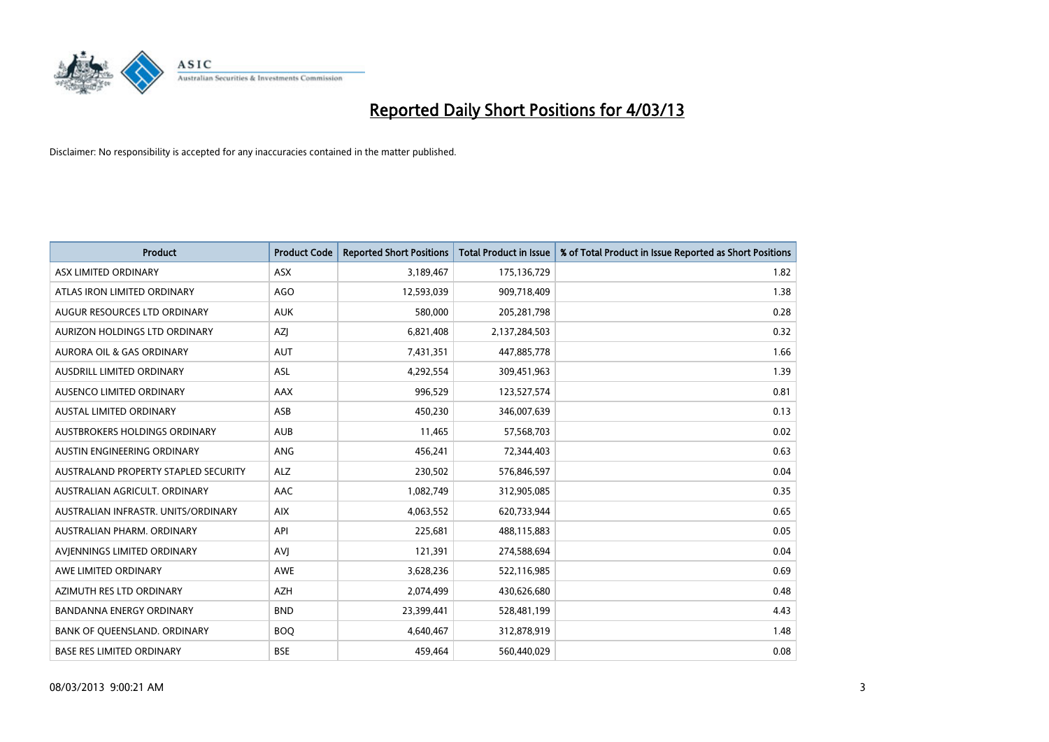

| <b>Product</b>                       | <b>Product Code</b> | <b>Reported Short Positions</b> | <b>Total Product in Issue</b> | % of Total Product in Issue Reported as Short Positions |
|--------------------------------------|---------------------|---------------------------------|-------------------------------|---------------------------------------------------------|
| ASX LIMITED ORDINARY                 | <b>ASX</b>          | 3,189,467                       | 175,136,729                   | 1.82                                                    |
| ATLAS IRON LIMITED ORDINARY          | <b>AGO</b>          | 12,593,039                      | 909,718,409                   | 1.38                                                    |
| AUGUR RESOURCES LTD ORDINARY         | <b>AUK</b>          | 580,000                         | 205, 281, 798                 | 0.28                                                    |
| AURIZON HOLDINGS LTD ORDINARY        | <b>AZI</b>          | 6,821,408                       | 2,137,284,503                 | 0.32                                                    |
| <b>AURORA OIL &amp; GAS ORDINARY</b> | <b>AUT</b>          | 7,431,351                       | 447,885,778                   | 1.66                                                    |
| AUSDRILL LIMITED ORDINARY            | ASL                 | 4,292,554                       | 309,451,963                   | 1.39                                                    |
| AUSENCO LIMITED ORDINARY             | AAX                 | 996,529                         | 123,527,574                   | 0.81                                                    |
| <b>AUSTAL LIMITED ORDINARY</b>       | ASB                 | 450,230                         | 346,007,639                   | 0.13                                                    |
| AUSTBROKERS HOLDINGS ORDINARY        | <b>AUB</b>          | 11,465                          | 57,568,703                    | 0.02                                                    |
| AUSTIN ENGINEERING ORDINARY          | ANG                 | 456,241                         | 72,344,403                    | 0.63                                                    |
| AUSTRALAND PROPERTY STAPLED SECURITY | <b>ALZ</b>          | 230,502                         | 576,846,597                   | 0.04                                                    |
| AUSTRALIAN AGRICULT. ORDINARY        | AAC                 | 1,082,749                       | 312,905,085                   | 0.35                                                    |
| AUSTRALIAN INFRASTR, UNITS/ORDINARY  | <b>AIX</b>          | 4,063,552                       | 620,733,944                   | 0.65                                                    |
| AUSTRALIAN PHARM, ORDINARY           | API                 | 225,681                         | 488,115,883                   | 0.05                                                    |
| AVIENNINGS LIMITED ORDINARY          | <b>AVI</b>          | 121,391                         | 274,588,694                   | 0.04                                                    |
| AWE LIMITED ORDINARY                 | <b>AWE</b>          | 3,628,236                       | 522,116,985                   | 0.69                                                    |
| AZIMUTH RES LTD ORDINARY             | <b>AZH</b>          | 2,074,499                       | 430,626,680                   | 0.48                                                    |
| <b>BANDANNA ENERGY ORDINARY</b>      | <b>BND</b>          | 23,399,441                      | 528,481,199                   | 4.43                                                    |
| <b>BANK OF OUEENSLAND, ORDINARY</b>  | <b>BOQ</b>          | 4,640,467                       | 312,878,919                   | 1.48                                                    |
| <b>BASE RES LIMITED ORDINARY</b>     | <b>BSE</b>          | 459.464                         | 560,440,029                   | 0.08                                                    |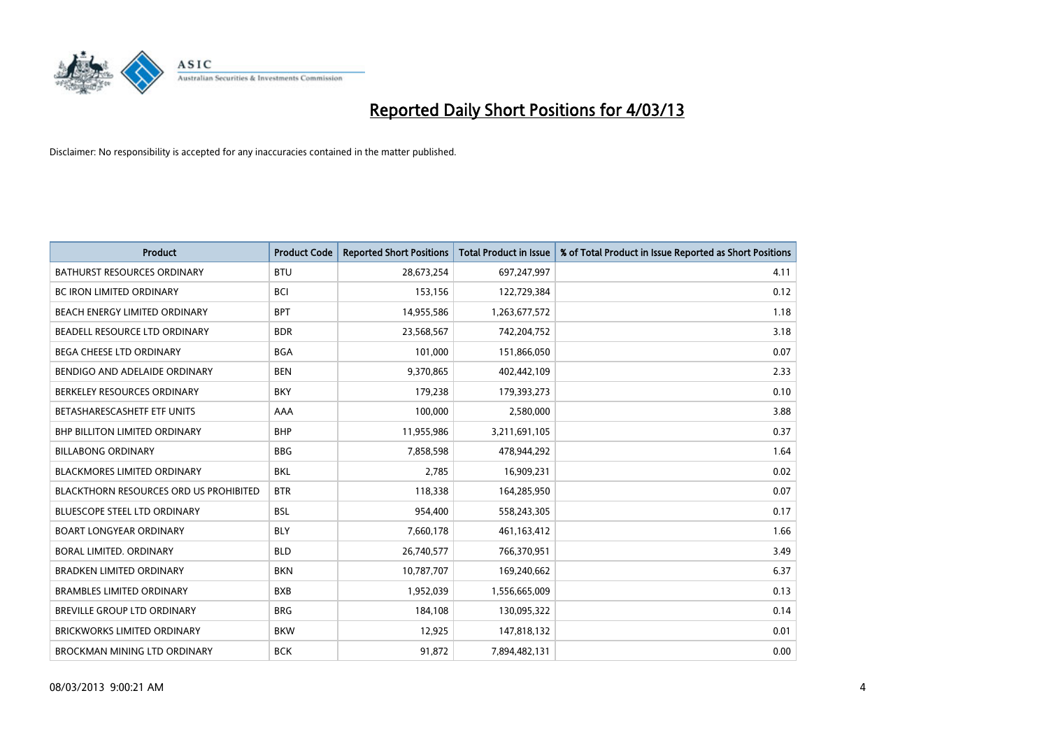

| <b>Product</b>                                | <b>Product Code</b> | <b>Reported Short Positions</b> | <b>Total Product in Issue</b> | % of Total Product in Issue Reported as Short Positions |
|-----------------------------------------------|---------------------|---------------------------------|-------------------------------|---------------------------------------------------------|
| <b>BATHURST RESOURCES ORDINARY</b>            | <b>BTU</b>          | 28,673,254                      | 697,247,997                   | 4.11                                                    |
| BC IRON LIMITED ORDINARY                      | <b>BCI</b>          | 153,156                         | 122,729,384                   | 0.12                                                    |
| BEACH ENERGY LIMITED ORDINARY                 | <b>BPT</b>          | 14,955,586                      | 1,263,677,572                 | 1.18                                                    |
| BEADELL RESOURCE LTD ORDINARY                 | <b>BDR</b>          | 23,568,567                      | 742,204,752                   | 3.18                                                    |
| BEGA CHEESE LTD ORDINARY                      | <b>BGA</b>          | 101,000                         | 151,866,050                   | 0.07                                                    |
| BENDIGO AND ADELAIDE ORDINARY                 | <b>BEN</b>          | 9,370,865                       | 402,442,109                   | 2.33                                                    |
| BERKELEY RESOURCES ORDINARY                   | <b>BKY</b>          | 179,238                         | 179,393,273                   | 0.10                                                    |
| BETASHARESCASHETF ETF UNITS                   | AAA                 | 100,000                         | 2,580,000                     | 3.88                                                    |
| BHP BILLITON LIMITED ORDINARY                 | <b>BHP</b>          | 11,955,986                      | 3,211,691,105                 | 0.37                                                    |
| <b>BILLABONG ORDINARY</b>                     | <b>BBG</b>          | 7,858,598                       | 478,944,292                   | 1.64                                                    |
| <b>BLACKMORES LIMITED ORDINARY</b>            | <b>BKL</b>          | 2,785                           | 16,909,231                    | 0.02                                                    |
| <b>BLACKTHORN RESOURCES ORD US PROHIBITED</b> | <b>BTR</b>          | 118,338                         | 164,285,950                   | 0.07                                                    |
| <b>BLUESCOPE STEEL LTD ORDINARY</b>           | <b>BSL</b>          | 954,400                         | 558,243,305                   | 0.17                                                    |
| <b>BOART LONGYEAR ORDINARY</b>                | <b>BLY</b>          | 7,660,178                       | 461,163,412                   | 1.66                                                    |
| BORAL LIMITED, ORDINARY                       | <b>BLD</b>          | 26,740,577                      | 766,370,951                   | 3.49                                                    |
| <b>BRADKEN LIMITED ORDINARY</b>               | <b>BKN</b>          | 10,787,707                      | 169,240,662                   | 6.37                                                    |
| <b>BRAMBLES LIMITED ORDINARY</b>              | <b>BXB</b>          | 1,952,039                       | 1,556,665,009                 | 0.13                                                    |
| BREVILLE GROUP LTD ORDINARY                   | <b>BRG</b>          | 184,108                         | 130,095,322                   | 0.14                                                    |
| <b>BRICKWORKS LIMITED ORDINARY</b>            | <b>BKW</b>          | 12,925                          | 147,818,132                   | 0.01                                                    |
| <b>BROCKMAN MINING LTD ORDINARY</b>           | <b>BCK</b>          | 91,872                          | 7.894.482.131                 | 0.00                                                    |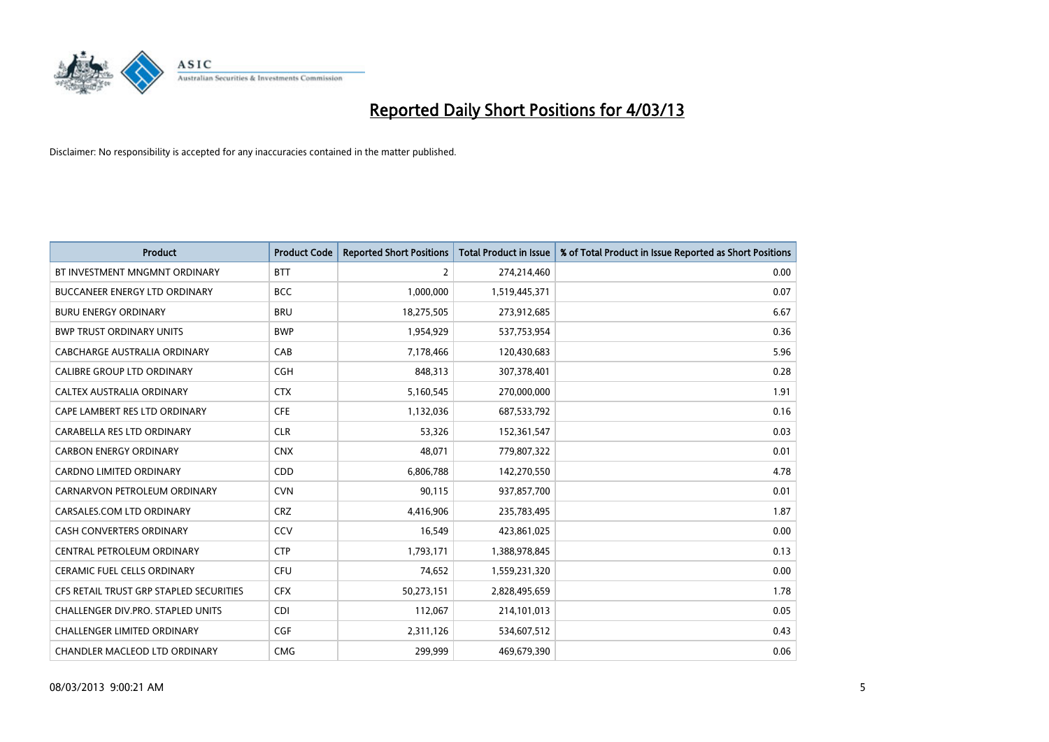

| <b>Product</b>                          | <b>Product Code</b> | <b>Reported Short Positions</b> | <b>Total Product in Issue</b> | % of Total Product in Issue Reported as Short Positions |
|-----------------------------------------|---------------------|---------------------------------|-------------------------------|---------------------------------------------------------|
| BT INVESTMENT MNGMNT ORDINARY           | <b>BTT</b>          | 2                               | 274,214,460                   | 0.00                                                    |
| BUCCANEER ENERGY LTD ORDINARY           | <b>BCC</b>          | 1,000,000                       | 1,519,445,371                 | 0.07                                                    |
| <b>BURU ENERGY ORDINARY</b>             | <b>BRU</b>          | 18,275,505                      | 273,912,685                   | 6.67                                                    |
| <b>BWP TRUST ORDINARY UNITS</b>         | <b>BWP</b>          | 1,954,929                       | 537,753,954                   | 0.36                                                    |
| <b>CABCHARGE AUSTRALIA ORDINARY</b>     | CAB                 | 7,178,466                       | 120,430,683                   | 5.96                                                    |
| <b>CALIBRE GROUP LTD ORDINARY</b>       | CGH                 | 848,313                         | 307,378,401                   | 0.28                                                    |
| CALTEX AUSTRALIA ORDINARY               | <b>CTX</b>          | 5,160,545                       | 270,000,000                   | 1.91                                                    |
| CAPE LAMBERT RES LTD ORDINARY           | <b>CFE</b>          | 1,132,036                       | 687,533,792                   | 0.16                                                    |
| CARABELLA RES LTD ORDINARY              | <b>CLR</b>          | 53,326                          | 152,361,547                   | 0.03                                                    |
| <b>CARBON ENERGY ORDINARY</b>           | <b>CNX</b>          | 48,071                          | 779,807,322                   | 0.01                                                    |
| CARDNO LIMITED ORDINARY                 | CDD                 | 6,806,788                       | 142,270,550                   | 4.78                                                    |
| CARNARVON PETROLEUM ORDINARY            | <b>CVN</b>          | 90,115                          | 937,857,700                   | 0.01                                                    |
| CARSALES.COM LTD ORDINARY               | <b>CRZ</b>          | 4,416,906                       | 235,783,495                   | 1.87                                                    |
| <b>CASH CONVERTERS ORDINARY</b>         | CCV                 | 16,549                          | 423,861,025                   | 0.00                                                    |
| CENTRAL PETROLEUM ORDINARY              | <b>CTP</b>          | 1,793,171                       | 1,388,978,845                 | 0.13                                                    |
| CERAMIC FUEL CELLS ORDINARY             | CFU                 | 74,652                          | 1,559,231,320                 | 0.00                                                    |
| CFS RETAIL TRUST GRP STAPLED SECURITIES | <b>CFX</b>          | 50,273,151                      | 2,828,495,659                 | 1.78                                                    |
| CHALLENGER DIV.PRO. STAPLED UNITS       | <b>CDI</b>          | 112,067                         | 214,101,013                   | 0.05                                                    |
| <b>CHALLENGER LIMITED ORDINARY</b>      | <b>CGF</b>          | 2,311,126                       | 534,607,512                   | 0.43                                                    |
| <b>CHANDLER MACLEOD LTD ORDINARY</b>    | <b>CMG</b>          | 299.999                         | 469,679,390                   | 0.06                                                    |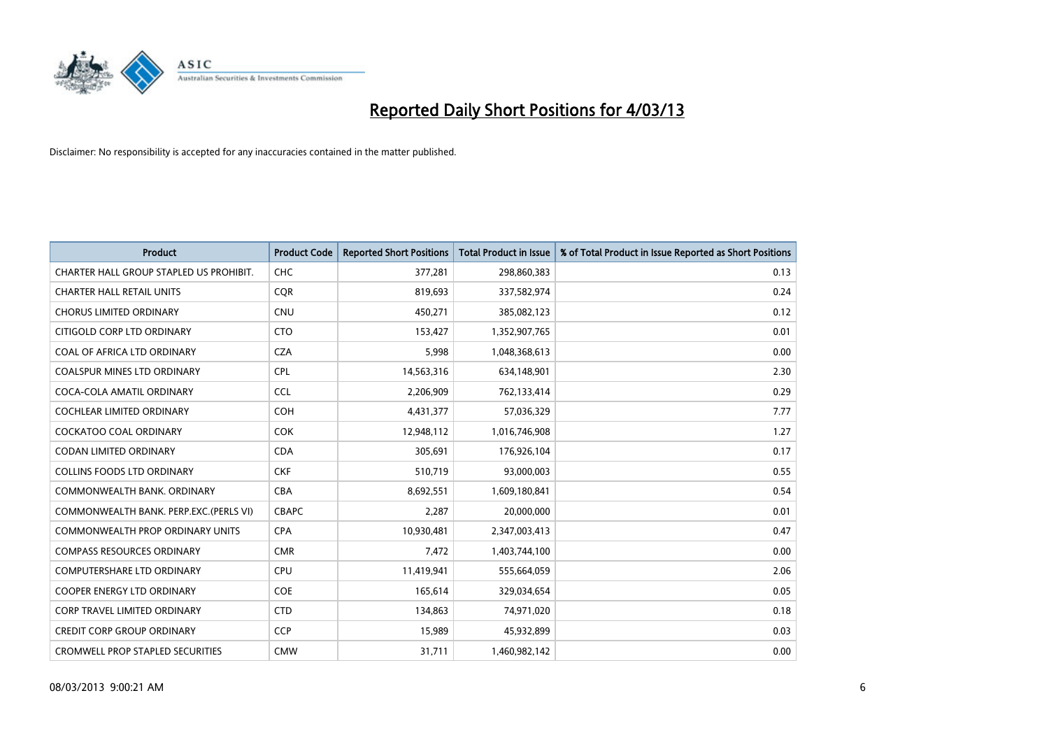

| <b>Product</b>                          | <b>Product Code</b> | <b>Reported Short Positions</b> | <b>Total Product in Issue</b> | % of Total Product in Issue Reported as Short Positions |
|-----------------------------------------|---------------------|---------------------------------|-------------------------------|---------------------------------------------------------|
| CHARTER HALL GROUP STAPLED US PROHIBIT. | <b>CHC</b>          | 377,281                         | 298,860,383                   | 0.13                                                    |
| <b>CHARTER HALL RETAIL UNITS</b>        | <b>COR</b>          | 819,693                         | 337,582,974                   | 0.24                                                    |
| <b>CHORUS LIMITED ORDINARY</b>          | <b>CNU</b>          | 450,271                         | 385,082,123                   | 0.12                                                    |
| CITIGOLD CORP LTD ORDINARY              | <b>CTO</b>          | 153,427                         | 1,352,907,765                 | 0.01                                                    |
| COAL OF AFRICA LTD ORDINARY             | <b>CZA</b>          | 5,998                           | 1,048,368,613                 | 0.00                                                    |
| <b>COALSPUR MINES LTD ORDINARY</b>      | <b>CPL</b>          | 14,563,316                      | 634,148,901                   | 2.30                                                    |
| COCA-COLA AMATIL ORDINARY               | <b>CCL</b>          | 2,206,909                       | 762,133,414                   | 0.29                                                    |
| COCHLEAR LIMITED ORDINARY               | <b>COH</b>          | 4,431,377                       | 57,036,329                    | 7.77                                                    |
| COCKATOO COAL ORDINARY                  | <b>COK</b>          | 12,948,112                      | 1,016,746,908                 | 1.27                                                    |
| <b>CODAN LIMITED ORDINARY</b>           | <b>CDA</b>          | 305,691                         | 176,926,104                   | 0.17                                                    |
| <b>COLLINS FOODS LTD ORDINARY</b>       | <b>CKF</b>          | 510,719                         | 93,000,003                    | 0.55                                                    |
| COMMONWEALTH BANK, ORDINARY             | <b>CBA</b>          | 8,692,551                       | 1,609,180,841                 | 0.54                                                    |
| COMMONWEALTH BANK, PERP.EXC.(PERLS VI)  | <b>CBAPC</b>        | 2,287                           | 20,000,000                    | 0.01                                                    |
| <b>COMMONWEALTH PROP ORDINARY UNITS</b> | <b>CPA</b>          | 10,930,481                      | 2,347,003,413                 | 0.47                                                    |
| <b>COMPASS RESOURCES ORDINARY</b>       | <b>CMR</b>          | 7,472                           | 1,403,744,100                 | 0.00                                                    |
| COMPUTERSHARE LTD ORDINARY              | <b>CPU</b>          | 11,419,941                      | 555,664,059                   | 2.06                                                    |
| <b>COOPER ENERGY LTD ORDINARY</b>       | <b>COE</b>          | 165,614                         | 329,034,654                   | 0.05                                                    |
| CORP TRAVEL LIMITED ORDINARY            | <b>CTD</b>          | 134,863                         | 74,971,020                    | 0.18                                                    |
| <b>CREDIT CORP GROUP ORDINARY</b>       | <b>CCP</b>          | 15,989                          | 45,932,899                    | 0.03                                                    |
| <b>CROMWELL PROP STAPLED SECURITIES</b> | <b>CMW</b>          | 31,711                          | 1,460,982,142                 | 0.00                                                    |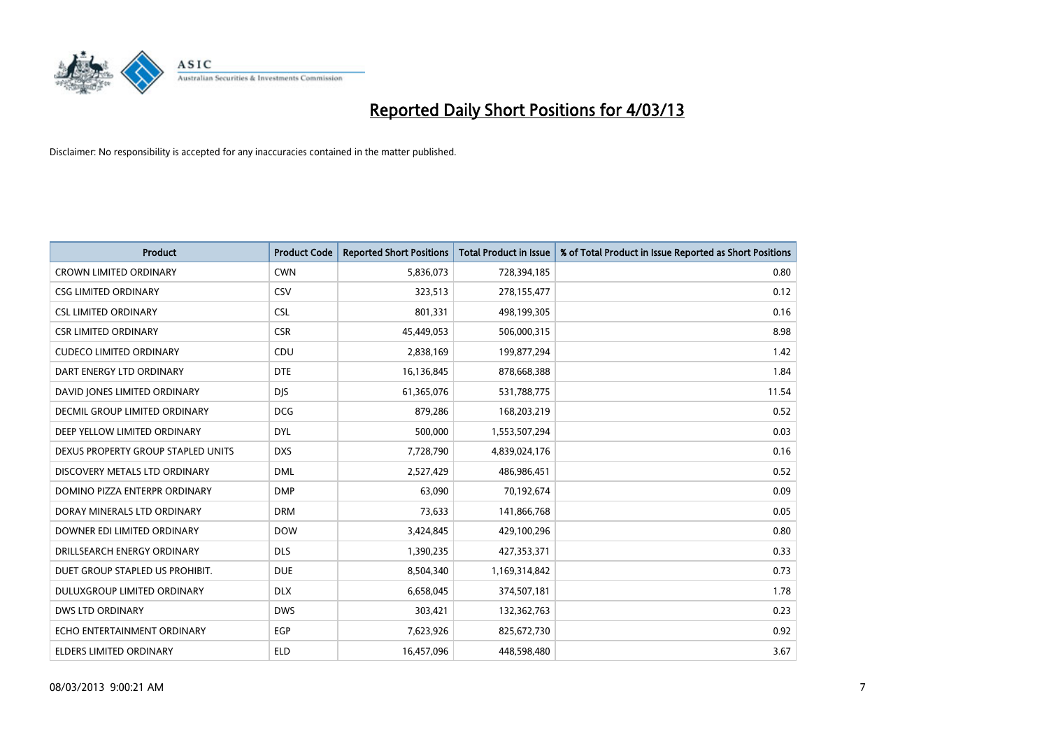

| <b>Product</b>                       | <b>Product Code</b> | <b>Reported Short Positions</b> | <b>Total Product in Issue</b> | % of Total Product in Issue Reported as Short Positions |
|--------------------------------------|---------------------|---------------------------------|-------------------------------|---------------------------------------------------------|
| <b>CROWN LIMITED ORDINARY</b>        | <b>CWN</b>          | 5,836,073                       | 728,394,185                   | 0.80                                                    |
| <b>CSG LIMITED ORDINARY</b>          | CSV                 | 323,513                         | 278,155,477                   | 0.12                                                    |
| <b>CSL LIMITED ORDINARY</b>          | <b>CSL</b>          | 801,331                         | 498,199,305                   | 0.16                                                    |
| <b>CSR LIMITED ORDINARY</b>          | <b>CSR</b>          | 45,449,053                      | 506,000,315                   | 8.98                                                    |
| <b>CUDECO LIMITED ORDINARY</b>       | CDU                 | 2,838,169                       | 199,877,294                   | 1.42                                                    |
| DART ENERGY LTD ORDINARY             | <b>DTE</b>          | 16,136,845                      | 878,668,388                   | 1.84                                                    |
| DAVID JONES LIMITED ORDINARY         | <b>DIS</b>          | 61,365,076                      | 531,788,775                   | 11.54                                                   |
| <b>DECMIL GROUP LIMITED ORDINARY</b> | <b>DCG</b>          | 879,286                         | 168,203,219                   | 0.52                                                    |
| DEEP YELLOW LIMITED ORDINARY         | <b>DYL</b>          | 500,000                         | 1,553,507,294                 | 0.03                                                    |
| DEXUS PROPERTY GROUP STAPLED UNITS   | <b>DXS</b>          | 7,728,790                       | 4,839,024,176                 | 0.16                                                    |
| DISCOVERY METALS LTD ORDINARY        | <b>DML</b>          | 2,527,429                       | 486,986,451                   | 0.52                                                    |
| DOMINO PIZZA ENTERPR ORDINARY        | <b>DMP</b>          | 63,090                          | 70,192,674                    | 0.09                                                    |
| DORAY MINERALS LTD ORDINARY          | <b>DRM</b>          | 73,633                          | 141,866,768                   | 0.05                                                    |
| DOWNER EDI LIMITED ORDINARY          | <b>DOW</b>          | 3,424,845                       | 429,100,296                   | 0.80                                                    |
| DRILLSEARCH ENERGY ORDINARY          | <b>DLS</b>          | 1,390,235                       | 427,353,371                   | 0.33                                                    |
| DUET GROUP STAPLED US PROHIBIT.      | <b>DUE</b>          | 8,504,340                       | 1,169,314,842                 | 0.73                                                    |
| DULUXGROUP LIMITED ORDINARY          | <b>DLX</b>          | 6,658,045                       | 374,507,181                   | 1.78                                                    |
| DWS LTD ORDINARY                     | <b>DWS</b>          | 303,421                         | 132,362,763                   | 0.23                                                    |
| ECHO ENTERTAINMENT ORDINARY          | <b>EGP</b>          | 7,623,926                       | 825,672,730                   | 0.92                                                    |
| ELDERS LIMITED ORDINARY              | <b>ELD</b>          | 16,457,096                      | 448,598,480                   | 3.67                                                    |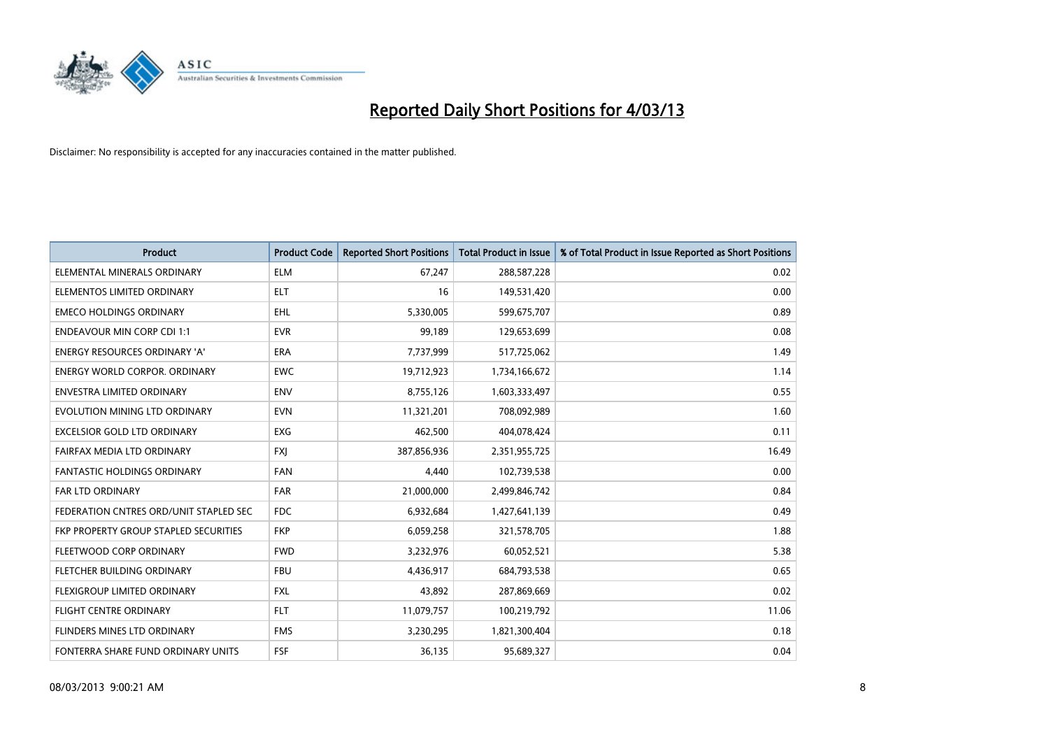

| <b>Product</b>                         | <b>Product Code</b> | <b>Reported Short Positions</b> | <b>Total Product in Issue</b> | % of Total Product in Issue Reported as Short Positions |
|----------------------------------------|---------------------|---------------------------------|-------------------------------|---------------------------------------------------------|
| ELEMENTAL MINERALS ORDINARY            | <b>ELM</b>          | 67,247                          | 288,587,228                   | 0.02                                                    |
| ELEMENTOS LIMITED ORDINARY             | <b>ELT</b>          | 16                              | 149,531,420                   | 0.00                                                    |
| <b>EMECO HOLDINGS ORDINARY</b>         | EHL                 | 5,330,005                       | 599,675,707                   | 0.89                                                    |
| <b>ENDEAVOUR MIN CORP CDI 1:1</b>      | <b>EVR</b>          | 99,189                          | 129,653,699                   | 0.08                                                    |
| <b>ENERGY RESOURCES ORDINARY 'A'</b>   | <b>ERA</b>          | 7,737,999                       | 517,725,062                   | 1.49                                                    |
| <b>ENERGY WORLD CORPOR, ORDINARY</b>   | <b>EWC</b>          | 19,712,923                      | 1,734,166,672                 | 1.14                                                    |
| <b>ENVESTRA LIMITED ORDINARY</b>       | <b>ENV</b>          | 8,755,126                       | 1,603,333,497                 | 0.55                                                    |
| EVOLUTION MINING LTD ORDINARY          | <b>EVN</b>          | 11,321,201                      | 708,092,989                   | 1.60                                                    |
| <b>EXCELSIOR GOLD LTD ORDINARY</b>     | <b>EXG</b>          | 462.500                         | 404,078,424                   | 0.11                                                    |
| FAIRFAX MEDIA LTD ORDINARY             | <b>FXI</b>          | 387,856,936                     | 2,351,955,725                 | 16.49                                                   |
| <b>FANTASTIC HOLDINGS ORDINARY</b>     | <b>FAN</b>          | 4,440                           | 102,739,538                   | 0.00                                                    |
| <b>FAR LTD ORDINARY</b>                | <b>FAR</b>          | 21,000,000                      | 2,499,846,742                 | 0.84                                                    |
| FEDERATION CNTRES ORD/UNIT STAPLED SEC | <b>FDC</b>          | 6,932,684                       | 1,427,641,139                 | 0.49                                                    |
| FKP PROPERTY GROUP STAPLED SECURITIES  | <b>FKP</b>          | 6,059,258                       | 321,578,705                   | 1.88                                                    |
| FLEETWOOD CORP ORDINARY                | <b>FWD</b>          | 3,232,976                       | 60,052,521                    | 5.38                                                    |
| FLETCHER BUILDING ORDINARY             | <b>FBU</b>          | 4,436,917                       | 684,793,538                   | 0.65                                                    |
| FLEXIGROUP LIMITED ORDINARY            | <b>FXL</b>          | 43,892                          | 287,869,669                   | 0.02                                                    |
| <b>FLIGHT CENTRE ORDINARY</b>          | <b>FLT</b>          | 11,079,757                      | 100,219,792                   | 11.06                                                   |
| FLINDERS MINES LTD ORDINARY            | <b>FMS</b>          | 3,230,295                       | 1,821,300,404                 | 0.18                                                    |
| FONTERRA SHARE FUND ORDINARY UNITS     | <b>FSF</b>          | 36,135                          | 95,689,327                    | 0.04                                                    |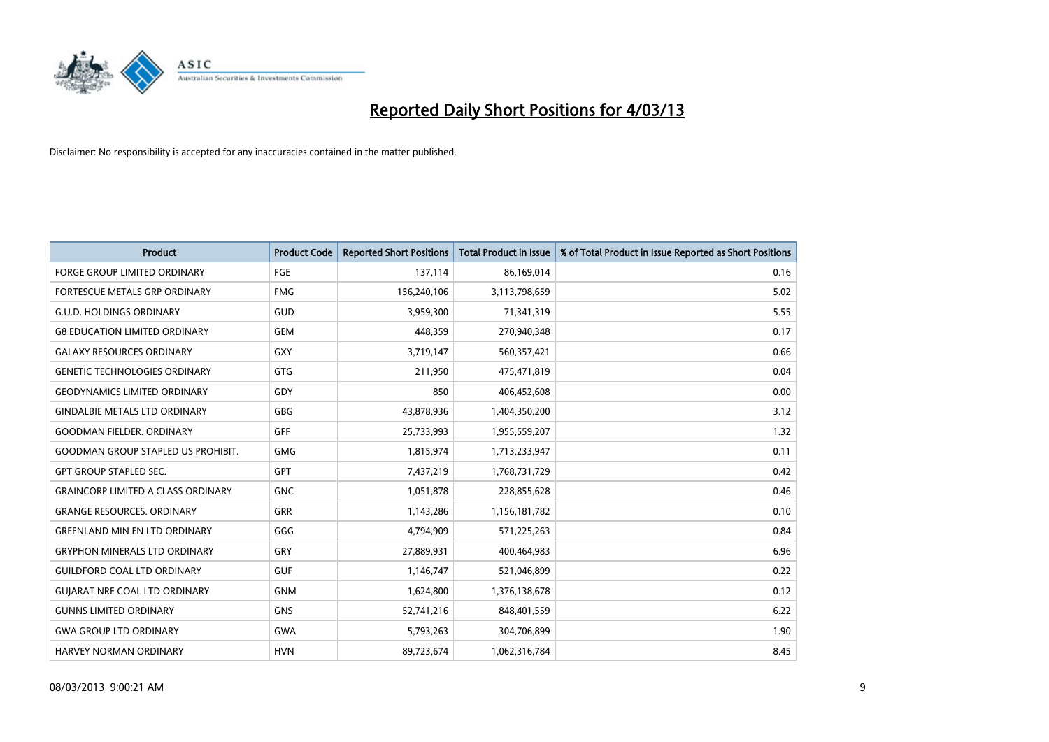

| <b>Product</b>                            | <b>Product Code</b> | <b>Reported Short Positions</b> | <b>Total Product in Issue</b> | % of Total Product in Issue Reported as Short Positions |
|-------------------------------------------|---------------------|---------------------------------|-------------------------------|---------------------------------------------------------|
| <b>FORGE GROUP LIMITED ORDINARY</b>       | FGE                 | 137,114                         | 86,169,014                    | 0.16                                                    |
| FORTESCUE METALS GRP ORDINARY             | <b>FMG</b>          | 156,240,106                     | 3,113,798,659                 | 5.02                                                    |
| <b>G.U.D. HOLDINGS ORDINARY</b>           | GUD                 | 3,959,300                       | 71,341,319                    | 5.55                                                    |
| <b>G8 EDUCATION LIMITED ORDINARY</b>      | <b>GEM</b>          | 448,359                         | 270,940,348                   | 0.17                                                    |
| <b>GALAXY RESOURCES ORDINARY</b>          | GXY                 | 3,719,147                       | 560,357,421                   | 0.66                                                    |
| <b>GENETIC TECHNOLOGIES ORDINARY</b>      | <b>GTG</b>          | 211,950                         | 475,471,819                   | 0.04                                                    |
| <b>GEODYNAMICS LIMITED ORDINARY</b>       | GDY                 | 850                             | 406,452,608                   | 0.00                                                    |
| <b>GINDALBIE METALS LTD ORDINARY</b>      | GBG                 | 43,878,936                      | 1,404,350,200                 | 3.12                                                    |
| <b>GOODMAN FIELDER. ORDINARY</b>          | <b>GFF</b>          | 25,733,993                      | 1,955,559,207                 | 1.32                                                    |
| <b>GOODMAN GROUP STAPLED US PROHIBIT.</b> | <b>GMG</b>          | 1,815,974                       | 1,713,233,947                 | 0.11                                                    |
| <b>GPT GROUP STAPLED SEC.</b>             | <b>GPT</b>          | 7,437,219                       | 1,768,731,729                 | 0.42                                                    |
| <b>GRAINCORP LIMITED A CLASS ORDINARY</b> | <b>GNC</b>          | 1,051,878                       | 228,855,628                   | 0.46                                                    |
| <b>GRANGE RESOURCES. ORDINARY</b>         | <b>GRR</b>          | 1,143,286                       | 1,156,181,782                 | 0.10                                                    |
| <b>GREENLAND MIN EN LTD ORDINARY</b>      | GGG                 | 4,794,909                       | 571,225,263                   | 0.84                                                    |
| <b>GRYPHON MINERALS LTD ORDINARY</b>      | GRY                 | 27,889,931                      | 400,464,983                   | 6.96                                                    |
| <b>GUILDFORD COAL LTD ORDINARY</b>        | <b>GUF</b>          | 1,146,747                       | 521,046,899                   | 0.22                                                    |
| <b>GUIARAT NRE COAL LTD ORDINARY</b>      | <b>GNM</b>          | 1,624,800                       | 1,376,138,678                 | 0.12                                                    |
| <b>GUNNS LIMITED ORDINARY</b>             | <b>GNS</b>          | 52,741,216                      | 848,401,559                   | 6.22                                                    |
| <b>GWA GROUP LTD ORDINARY</b>             | <b>GWA</b>          | 5,793,263                       | 304,706,899                   | 1.90                                                    |
| <b>HARVEY NORMAN ORDINARY</b>             | <b>HVN</b>          | 89,723,674                      | 1,062,316,784                 | 8.45                                                    |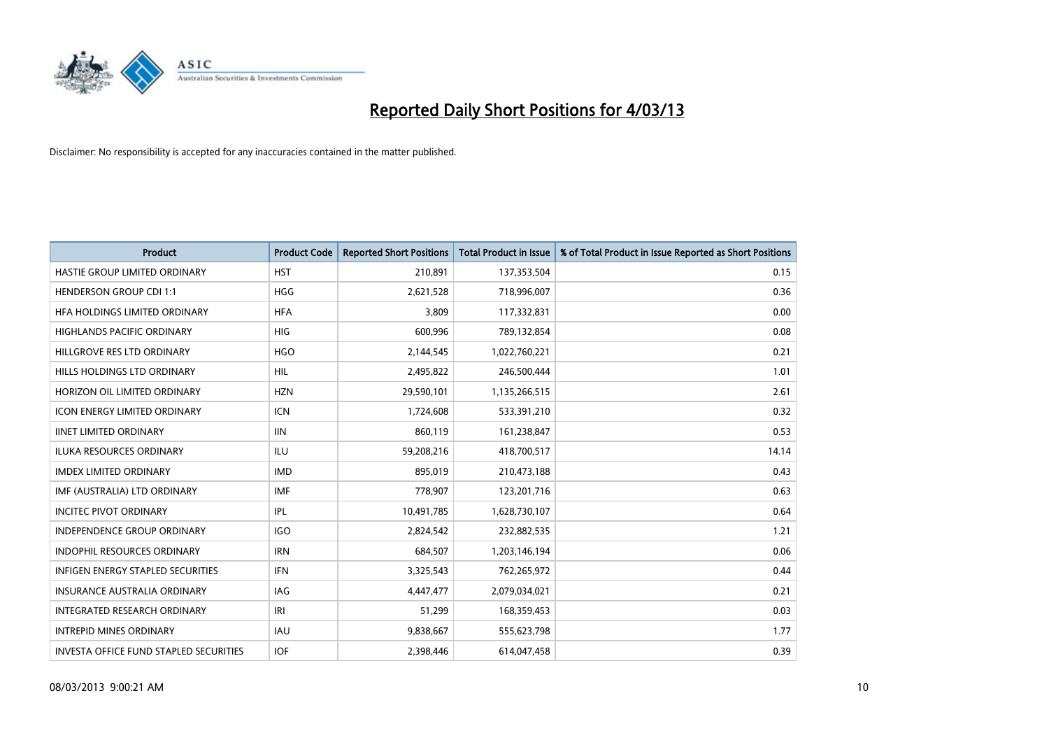

| <b>Product</b>                                | <b>Product Code</b> | <b>Reported Short Positions</b> | <b>Total Product in Issue</b> | % of Total Product in Issue Reported as Short Positions |
|-----------------------------------------------|---------------------|---------------------------------|-------------------------------|---------------------------------------------------------|
| HASTIE GROUP LIMITED ORDINARY                 | <b>HST</b>          | 210,891                         | 137,353,504                   | 0.15                                                    |
| <b>HENDERSON GROUP CDI 1:1</b>                | <b>HGG</b>          | 2,621,528                       | 718,996,007                   | 0.36                                                    |
| HFA HOLDINGS LIMITED ORDINARY                 | <b>HFA</b>          | 3.809                           | 117,332,831                   | 0.00                                                    |
| HIGHLANDS PACIFIC ORDINARY                    | <b>HIG</b>          | 600,996                         | 789,132,854                   | 0.08                                                    |
| HILLGROVE RES LTD ORDINARY                    | <b>HGO</b>          | 2,144,545                       | 1,022,760,221                 | 0.21                                                    |
| HILLS HOLDINGS LTD ORDINARY                   | <b>HIL</b>          | 2,495,822                       | 246,500,444                   | 1.01                                                    |
| HORIZON OIL LIMITED ORDINARY                  | <b>HZN</b>          | 29,590,101                      | 1,135,266,515                 | 2.61                                                    |
| <b>ICON ENERGY LIMITED ORDINARY</b>           | <b>ICN</b>          | 1,724,608                       | 533,391,210                   | 0.32                                                    |
| <b>IINET LIMITED ORDINARY</b>                 | <b>IIN</b>          | 860,119                         | 161,238,847                   | 0.53                                                    |
| <b>ILUKA RESOURCES ORDINARY</b>               | <b>ILU</b>          | 59,208,216                      | 418,700,517                   | 14.14                                                   |
| <b>IMDEX LIMITED ORDINARY</b>                 | <b>IMD</b>          | 895,019                         | 210,473,188                   | 0.43                                                    |
| IMF (AUSTRALIA) LTD ORDINARY                  | <b>IMF</b>          | 778,907                         | 123,201,716                   | 0.63                                                    |
| <b>INCITEC PIVOT ORDINARY</b>                 | IPL                 | 10,491,785                      | 1,628,730,107                 | 0.64                                                    |
| <b>INDEPENDENCE GROUP ORDINARY</b>            | <b>IGO</b>          | 2,824,542                       | 232,882,535                   | 1.21                                                    |
| INDOPHIL RESOURCES ORDINARY                   | <b>IRN</b>          | 684,507                         | 1,203,146,194                 | 0.06                                                    |
| INFIGEN ENERGY STAPLED SECURITIES             | <b>IFN</b>          | 3,325,543                       | 762,265,972                   | 0.44                                                    |
| <b>INSURANCE AUSTRALIA ORDINARY</b>           | IAG                 | 4,447,477                       | 2,079,034,021                 | 0.21                                                    |
| INTEGRATED RESEARCH ORDINARY                  | IRI                 | 51,299                          | 168,359,453                   | 0.03                                                    |
| <b>INTREPID MINES ORDINARY</b>                | <b>IAU</b>          | 9,838,667                       | 555,623,798                   | 1.77                                                    |
| <b>INVESTA OFFICE FUND STAPLED SECURITIES</b> | <b>IOF</b>          | 2.398.446                       | 614,047,458                   | 0.39                                                    |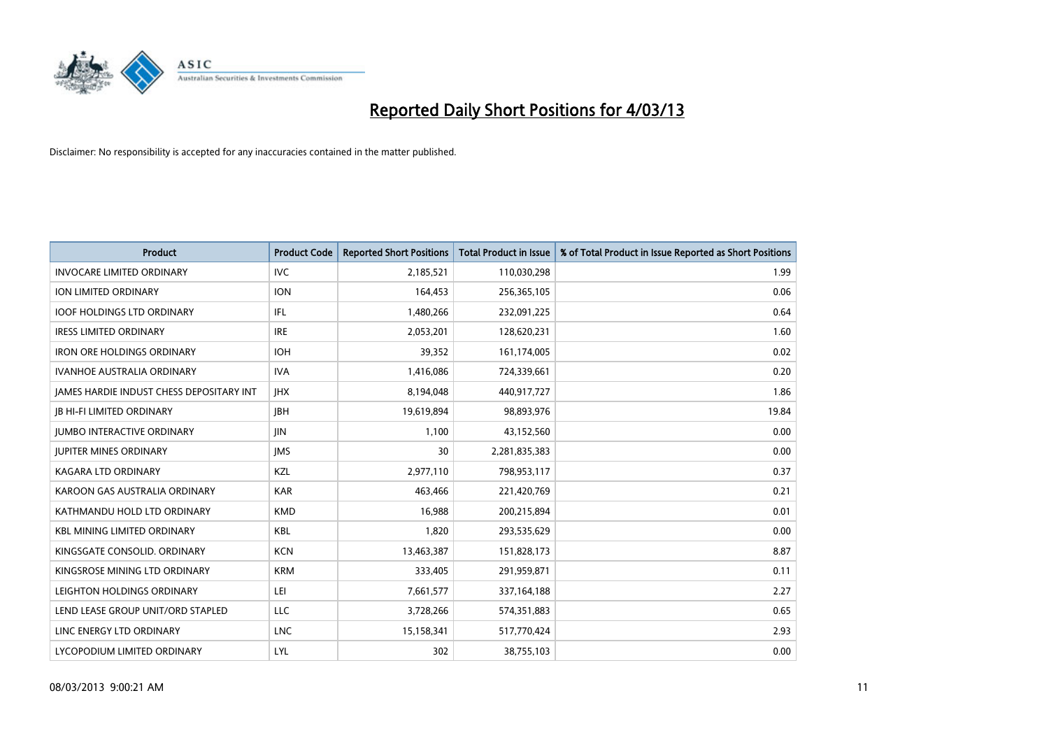

| <b>Product</b>                                  | <b>Product Code</b> | <b>Reported Short Positions</b> | <b>Total Product in Issue</b> | % of Total Product in Issue Reported as Short Positions |
|-------------------------------------------------|---------------------|---------------------------------|-------------------------------|---------------------------------------------------------|
| <b>INVOCARE LIMITED ORDINARY</b>                | <b>IVC</b>          | 2,185,521                       | 110,030,298                   | 1.99                                                    |
| ION LIMITED ORDINARY                            | <b>ION</b>          | 164,453                         | 256,365,105                   | 0.06                                                    |
| <b>IOOF HOLDINGS LTD ORDINARY</b>               | <b>IFL</b>          | 1,480,266                       | 232,091,225                   | 0.64                                                    |
| <b>IRESS LIMITED ORDINARY</b>                   | <b>IRE</b>          | 2,053,201                       | 128,620,231                   | 1.60                                                    |
| <b>IRON ORE HOLDINGS ORDINARY</b>               | <b>IOH</b>          | 39,352                          | 161,174,005                   | 0.02                                                    |
| <b>IVANHOE AUSTRALIA ORDINARY</b>               | <b>IVA</b>          | 1,416,086                       | 724,339,661                   | 0.20                                                    |
| <b>JAMES HARDIE INDUST CHESS DEPOSITARY INT</b> | <b>IHX</b>          | 8,194,048                       | 440,917,727                   | 1.86                                                    |
| <b>JB HI-FI LIMITED ORDINARY</b>                | <b>IBH</b>          | 19,619,894                      | 98,893,976                    | 19.84                                                   |
| <b>JUMBO INTERACTIVE ORDINARY</b>               | <b>JIN</b>          | 1,100                           | 43,152,560                    | 0.00                                                    |
| <b>JUPITER MINES ORDINARY</b>                   | <b>IMS</b>          | 30                              | 2,281,835,383                 | 0.00                                                    |
| KAGARA LTD ORDINARY                             | <b>KZL</b>          | 2,977,110                       | 798,953,117                   | 0.37                                                    |
| KAROON GAS AUSTRALIA ORDINARY                   | <b>KAR</b>          | 463,466                         | 221,420,769                   | 0.21                                                    |
| KATHMANDU HOLD LTD ORDINARY                     | <b>KMD</b>          | 16,988                          | 200,215,894                   | 0.01                                                    |
| <b>KBL MINING LIMITED ORDINARY</b>              | <b>KBL</b>          | 1,820                           | 293,535,629                   | 0.00                                                    |
| KINGSGATE CONSOLID. ORDINARY                    | <b>KCN</b>          | 13,463,387                      | 151,828,173                   | 8.87                                                    |
| KINGSROSE MINING LTD ORDINARY                   | <b>KRM</b>          | 333,405                         | 291,959,871                   | 0.11                                                    |
| LEIGHTON HOLDINGS ORDINARY                      | LEI                 | 7,661,577                       | 337,164,188                   | 2.27                                                    |
| LEND LEASE GROUP UNIT/ORD STAPLED               | LLC                 | 3,728,266                       | 574,351,883                   | 0.65                                                    |
| LINC ENERGY LTD ORDINARY                        | <b>LNC</b>          | 15,158,341                      | 517,770,424                   | 2.93                                                    |
| LYCOPODIUM LIMITED ORDINARY                     | LYL                 | 302                             | 38,755,103                    | 0.00                                                    |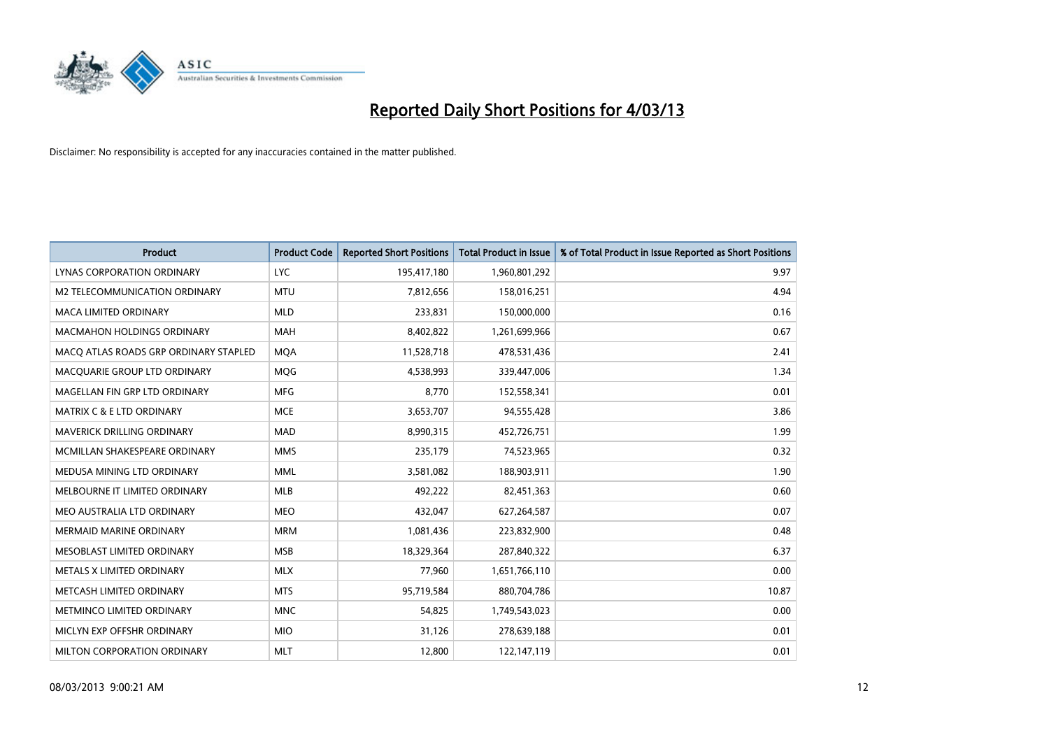

| <b>Product</b>                        | <b>Product Code</b> | <b>Reported Short Positions</b> | <b>Total Product in Issue</b> | % of Total Product in Issue Reported as Short Positions |
|---------------------------------------|---------------------|---------------------------------|-------------------------------|---------------------------------------------------------|
| <b>LYNAS CORPORATION ORDINARY</b>     | <b>LYC</b>          | 195,417,180                     | 1,960,801,292                 | 9.97                                                    |
| M2 TELECOMMUNICATION ORDINARY         | <b>MTU</b>          | 7,812,656                       | 158,016,251                   | 4.94                                                    |
| <b>MACA LIMITED ORDINARY</b>          | <b>MLD</b>          | 233,831                         | 150,000,000                   | 0.16                                                    |
| MACMAHON HOLDINGS ORDINARY            | <b>MAH</b>          | 8,402,822                       | 1,261,699,966                 | 0.67                                                    |
| MACO ATLAS ROADS GRP ORDINARY STAPLED | <b>MQA</b>          | 11,528,718                      | 478,531,436                   | 2.41                                                    |
| MACQUARIE GROUP LTD ORDINARY          | <b>MQG</b>          | 4,538,993                       | 339,447,006                   | 1.34                                                    |
| MAGELLAN FIN GRP LTD ORDINARY         | <b>MFG</b>          | 8.770                           | 152,558,341                   | 0.01                                                    |
| MATRIX C & E LTD ORDINARY             | <b>MCE</b>          | 3,653,707                       | 94,555,428                    | 3.86                                                    |
| MAVERICK DRILLING ORDINARY            | <b>MAD</b>          | 8,990,315                       | 452,726,751                   | 1.99                                                    |
| MCMILLAN SHAKESPEARE ORDINARY         | <b>MMS</b>          | 235,179                         | 74,523,965                    | 0.32                                                    |
| MEDUSA MINING LTD ORDINARY            | <b>MML</b>          | 3,581,082                       | 188,903,911                   | 1.90                                                    |
| MELBOURNE IT LIMITED ORDINARY         | <b>MLB</b>          | 492,222                         | 82,451,363                    | 0.60                                                    |
| MEO AUSTRALIA LTD ORDINARY            | <b>MEO</b>          | 432,047                         | 627,264,587                   | 0.07                                                    |
| <b>MERMAID MARINE ORDINARY</b>        | <b>MRM</b>          | 1,081,436                       | 223,832,900                   | 0.48                                                    |
| MESOBLAST LIMITED ORDINARY            | <b>MSB</b>          | 18,329,364                      | 287,840,322                   | 6.37                                                    |
| METALS X LIMITED ORDINARY             | <b>MLX</b>          | 77,960                          | 1,651,766,110                 | 0.00                                                    |
| METCASH LIMITED ORDINARY              | <b>MTS</b>          | 95,719,584                      | 880,704,786                   | 10.87                                                   |
| METMINCO LIMITED ORDINARY             | <b>MNC</b>          | 54,825                          | 1,749,543,023                 | 0.00                                                    |
| MICLYN EXP OFFSHR ORDINARY            | <b>MIO</b>          | 31,126                          | 278,639,188                   | 0.01                                                    |
| <b>MILTON CORPORATION ORDINARY</b>    | <b>MLT</b>          | 12,800                          | 122,147,119                   | 0.01                                                    |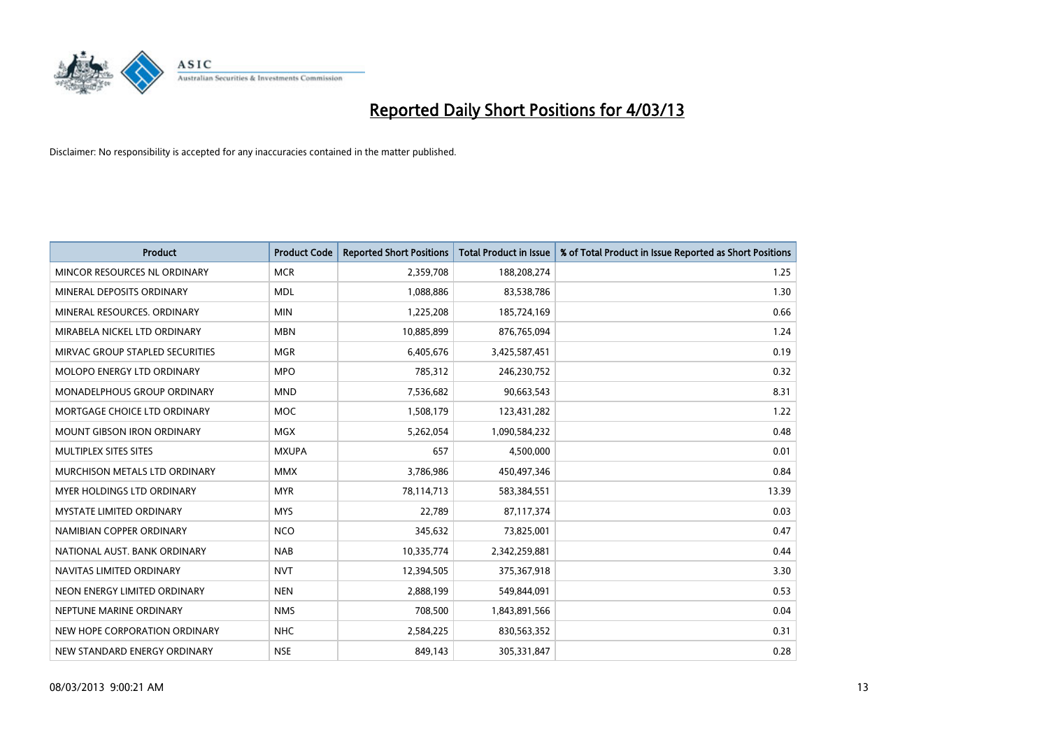

| <b>Product</b>                     | <b>Product Code</b> | <b>Reported Short Positions</b> | <b>Total Product in Issue</b> | % of Total Product in Issue Reported as Short Positions |
|------------------------------------|---------------------|---------------------------------|-------------------------------|---------------------------------------------------------|
| MINCOR RESOURCES NL ORDINARY       | <b>MCR</b>          | 2,359,708                       | 188,208,274                   | 1.25                                                    |
| MINERAL DEPOSITS ORDINARY          | <b>MDL</b>          | 1,088,886                       | 83,538,786                    | 1.30                                                    |
| MINERAL RESOURCES, ORDINARY        | <b>MIN</b>          | 1,225,208                       | 185,724,169                   | 0.66                                                    |
| MIRABELA NICKEL LTD ORDINARY       | <b>MBN</b>          | 10,885,899                      | 876,765,094                   | 1.24                                                    |
| MIRVAC GROUP STAPLED SECURITIES    | <b>MGR</b>          | 6,405,676                       | 3,425,587,451                 | 0.19                                                    |
| <b>MOLOPO ENERGY LTD ORDINARY</b>  | <b>MPO</b>          | 785,312                         | 246,230,752                   | 0.32                                                    |
| <b>MONADELPHOUS GROUP ORDINARY</b> | <b>MND</b>          | 7,536,682                       | 90,663,543                    | 8.31                                                    |
| MORTGAGE CHOICE LTD ORDINARY       | <b>MOC</b>          | 1,508,179                       | 123,431,282                   | 1.22                                                    |
| <b>MOUNT GIBSON IRON ORDINARY</b>  | <b>MGX</b>          | 5,262,054                       | 1,090,584,232                 | 0.48                                                    |
| MULTIPLEX SITES SITES              | <b>MXUPA</b>        | 657                             | 4,500,000                     | 0.01                                                    |
| MURCHISON METALS LTD ORDINARY      | <b>MMX</b>          | 3,786,986                       | 450,497,346                   | 0.84                                                    |
| <b>MYER HOLDINGS LTD ORDINARY</b>  | <b>MYR</b>          | 78,114,713                      | 583,384,551                   | 13.39                                                   |
| <b>MYSTATE LIMITED ORDINARY</b>    | <b>MYS</b>          | 22,789                          | 87,117,374                    | 0.03                                                    |
| NAMIBIAN COPPER ORDINARY           | <b>NCO</b>          | 345,632                         | 73,825,001                    | 0.47                                                    |
| NATIONAL AUST. BANK ORDINARY       | <b>NAB</b>          | 10,335,774                      | 2,342,259,881                 | 0.44                                                    |
| NAVITAS LIMITED ORDINARY           | <b>NVT</b>          | 12,394,505                      | 375,367,918                   | 3.30                                                    |
| NEON ENERGY LIMITED ORDINARY       | <b>NEN</b>          | 2,888,199                       | 549,844,091                   | 0.53                                                    |
| NEPTUNE MARINE ORDINARY            | <b>NMS</b>          | 708,500                         | 1,843,891,566                 | 0.04                                                    |
| NEW HOPE CORPORATION ORDINARY      | <b>NHC</b>          | 2,584,225                       | 830,563,352                   | 0.31                                                    |
| NEW STANDARD ENERGY ORDINARY       | <b>NSE</b>          | 849,143                         | 305,331,847                   | 0.28                                                    |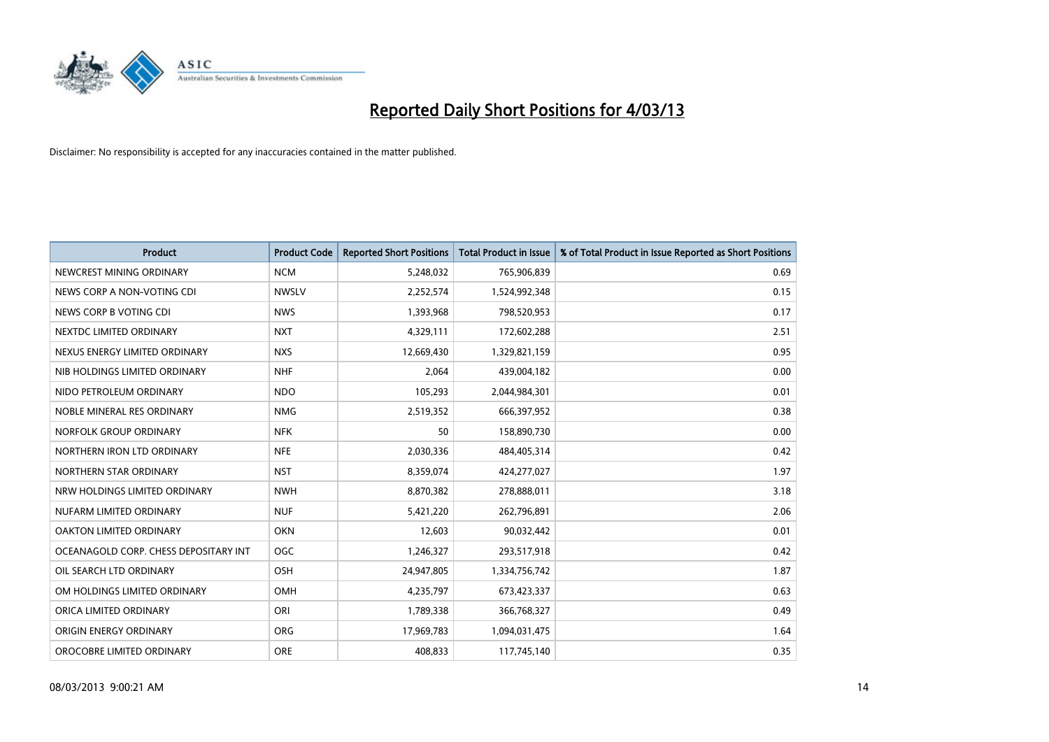

| <b>Product</b>                        | <b>Product Code</b> | <b>Reported Short Positions</b> | <b>Total Product in Issue</b> | % of Total Product in Issue Reported as Short Positions |
|---------------------------------------|---------------------|---------------------------------|-------------------------------|---------------------------------------------------------|
| NEWCREST MINING ORDINARY              | <b>NCM</b>          | 5,248,032                       | 765,906,839                   | 0.69                                                    |
| NEWS CORP A NON-VOTING CDI            | <b>NWSLV</b>        | 2,252,574                       | 1,524,992,348                 | 0.15                                                    |
| NEWS CORP B VOTING CDI                | <b>NWS</b>          | 1,393,968                       | 798,520,953                   | 0.17                                                    |
| NEXTDC LIMITED ORDINARY               | <b>NXT</b>          | 4,329,111                       | 172,602,288                   | 2.51                                                    |
| NEXUS ENERGY LIMITED ORDINARY         | <b>NXS</b>          | 12,669,430                      | 1,329,821,159                 | 0.95                                                    |
| NIB HOLDINGS LIMITED ORDINARY         | <b>NHF</b>          | 2,064                           | 439,004,182                   | 0.00                                                    |
| NIDO PETROLEUM ORDINARY               | <b>NDO</b>          | 105,293                         | 2,044,984,301                 | 0.01                                                    |
| NOBLE MINERAL RES ORDINARY            | <b>NMG</b>          | 2,519,352                       | 666,397,952                   | 0.38                                                    |
| NORFOLK GROUP ORDINARY                | <b>NFK</b>          | 50                              | 158,890,730                   | 0.00                                                    |
| NORTHERN IRON LTD ORDINARY            | <b>NFE</b>          | 2,030,336                       | 484,405,314                   | 0.42                                                    |
| NORTHERN STAR ORDINARY                | <b>NST</b>          | 8,359,074                       | 424,277,027                   | 1.97                                                    |
| NRW HOLDINGS LIMITED ORDINARY         | <b>NWH</b>          | 8,870,382                       | 278,888,011                   | 3.18                                                    |
| NUFARM LIMITED ORDINARY               | <b>NUF</b>          | 5,421,220                       | 262,796,891                   | 2.06                                                    |
| OAKTON LIMITED ORDINARY               | <b>OKN</b>          | 12,603                          | 90,032,442                    | 0.01                                                    |
| OCEANAGOLD CORP. CHESS DEPOSITARY INT | <b>OGC</b>          | 1,246,327                       | 293,517,918                   | 0.42                                                    |
| OIL SEARCH LTD ORDINARY               | OSH                 | 24,947,805                      | 1,334,756,742                 | 1.87                                                    |
| OM HOLDINGS LIMITED ORDINARY          | OMH                 | 4,235,797                       | 673,423,337                   | 0.63                                                    |
| ORICA LIMITED ORDINARY                | ORI                 | 1,789,338                       | 366,768,327                   | 0.49                                                    |
| <b>ORIGIN ENERGY ORDINARY</b>         | <b>ORG</b>          | 17,969,783                      | 1,094,031,475                 | 1.64                                                    |
| OROCOBRE LIMITED ORDINARY             | <b>ORE</b>          | 408,833                         | 117,745,140                   | 0.35                                                    |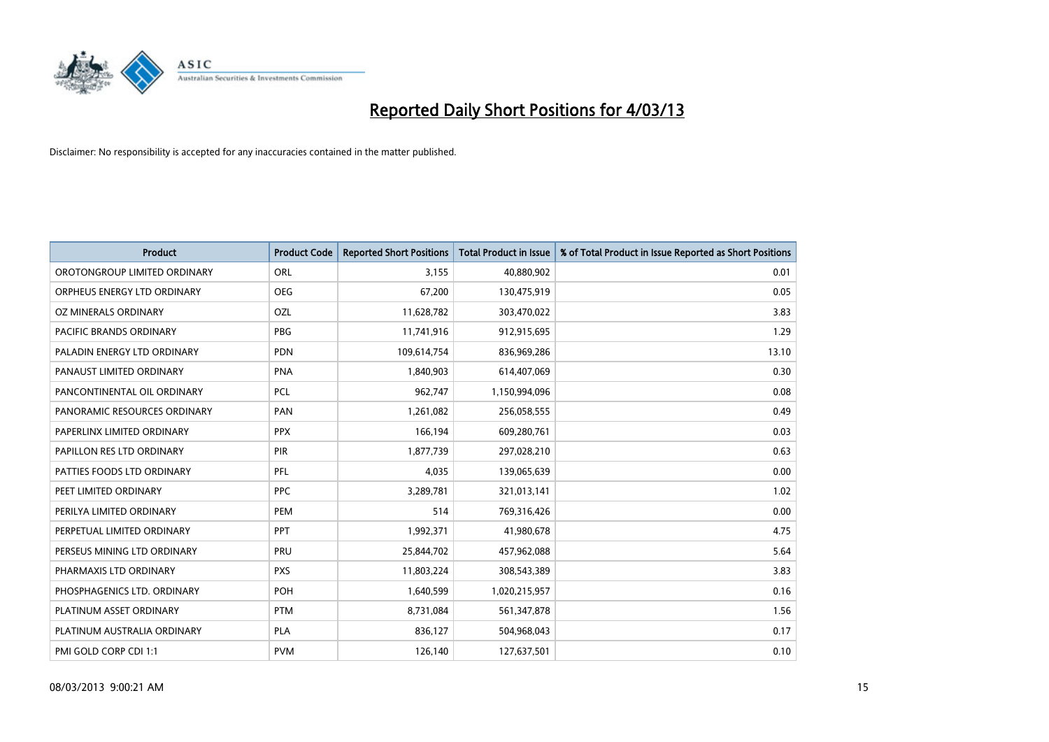

| <b>Product</b>               | <b>Product Code</b> | <b>Reported Short Positions</b> | <b>Total Product in Issue</b> | % of Total Product in Issue Reported as Short Positions |
|------------------------------|---------------------|---------------------------------|-------------------------------|---------------------------------------------------------|
| OROTONGROUP LIMITED ORDINARY | ORL                 | 3.155                           | 40,880,902                    | 0.01                                                    |
| ORPHEUS ENERGY LTD ORDINARY  | <b>OEG</b>          | 67,200                          | 130,475,919                   | 0.05                                                    |
| OZ MINERALS ORDINARY         | OZL                 | 11,628,782                      | 303,470,022                   | 3.83                                                    |
| PACIFIC BRANDS ORDINARY      | <b>PBG</b>          | 11,741,916                      | 912,915,695                   | 1.29                                                    |
| PALADIN ENERGY LTD ORDINARY  | <b>PDN</b>          | 109,614,754                     | 836,969,286                   | 13.10                                                   |
| PANAUST LIMITED ORDINARY     | <b>PNA</b>          | 1,840,903                       | 614,407,069                   | 0.30                                                    |
| PANCONTINENTAL OIL ORDINARY  | <b>PCL</b>          | 962.747                         | 1,150,994,096                 | 0.08                                                    |
| PANORAMIC RESOURCES ORDINARY | PAN                 | 1,261,082                       | 256,058,555                   | 0.49                                                    |
| PAPERLINX LIMITED ORDINARY   | <b>PPX</b>          | 166,194                         | 609,280,761                   | 0.03                                                    |
| PAPILLON RES LTD ORDINARY    | PIR                 | 1,877,739                       | 297,028,210                   | 0.63                                                    |
| PATTIES FOODS LTD ORDINARY   | PFL                 | 4,035                           | 139,065,639                   | 0.00                                                    |
| PEET LIMITED ORDINARY        | <b>PPC</b>          | 3,289,781                       | 321,013,141                   | 1.02                                                    |
| PERILYA LIMITED ORDINARY     | PEM                 | 514                             | 769,316,426                   | 0.00                                                    |
| PERPETUAL LIMITED ORDINARY   | <b>PPT</b>          | 1,992,371                       | 41,980,678                    | 4.75                                                    |
| PERSEUS MINING LTD ORDINARY  | PRU                 | 25,844,702                      | 457,962,088                   | 5.64                                                    |
| PHARMAXIS LTD ORDINARY       | <b>PXS</b>          | 11,803,224                      | 308,543,389                   | 3.83                                                    |
| PHOSPHAGENICS LTD. ORDINARY  | POH                 | 1,640,599                       | 1,020,215,957                 | 0.16                                                    |
| PLATINUM ASSET ORDINARY      | <b>PTM</b>          | 8,731,084                       | 561,347,878                   | 1.56                                                    |
| PLATINUM AUSTRALIA ORDINARY  | <b>PLA</b>          | 836,127                         | 504,968,043                   | 0.17                                                    |
| PMI GOLD CORP CDI 1:1        | <b>PVM</b>          | 126,140                         | 127,637,501                   | 0.10                                                    |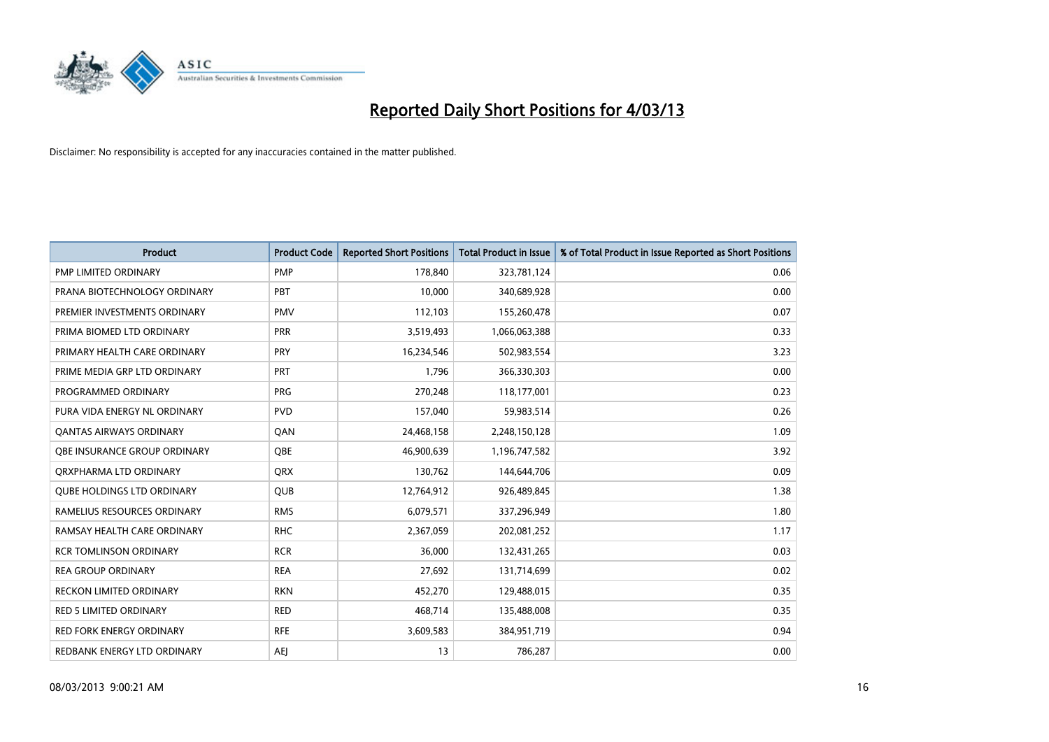

| <b>Product</b>                    | <b>Product Code</b> | <b>Reported Short Positions</b> | <b>Total Product in Issue</b> | % of Total Product in Issue Reported as Short Positions |
|-----------------------------------|---------------------|---------------------------------|-------------------------------|---------------------------------------------------------|
| <b>PMP LIMITED ORDINARY</b>       | <b>PMP</b>          | 178,840                         | 323,781,124                   | 0.06                                                    |
| PRANA BIOTECHNOLOGY ORDINARY      | PBT                 | 10,000                          | 340,689,928                   | 0.00                                                    |
| PREMIER INVESTMENTS ORDINARY      | <b>PMV</b>          | 112,103                         | 155,260,478                   | 0.07                                                    |
| PRIMA BIOMED LTD ORDINARY         | PRR                 | 3,519,493                       | 1,066,063,388                 | 0.33                                                    |
| PRIMARY HEALTH CARE ORDINARY      | <b>PRY</b>          | 16,234,546                      | 502,983,554                   | 3.23                                                    |
| PRIME MEDIA GRP LTD ORDINARY      | PRT                 | 1,796                           | 366,330,303                   | 0.00                                                    |
| PROGRAMMED ORDINARY               | <b>PRG</b>          | 270,248                         | 118,177,001                   | 0.23                                                    |
| PURA VIDA ENERGY NL ORDINARY      | <b>PVD</b>          | 157,040                         | 59,983,514                    | 0.26                                                    |
| <b>QANTAS AIRWAYS ORDINARY</b>    | <b>OAN</b>          | 24,468,158                      | 2,248,150,128                 | 1.09                                                    |
| OBE INSURANCE GROUP ORDINARY      | <b>OBE</b>          | 46,900,639                      | 1,196,747,582                 | 3.92                                                    |
| ORXPHARMA LTD ORDINARY            | <b>ORX</b>          | 130,762                         | 144,644,706                   | 0.09                                                    |
| <b>QUBE HOLDINGS LTD ORDINARY</b> | <b>QUB</b>          | 12,764,912                      | 926,489,845                   | 1.38                                                    |
| RAMELIUS RESOURCES ORDINARY       | <b>RMS</b>          | 6,079,571                       | 337,296,949                   | 1.80                                                    |
| RAMSAY HEALTH CARE ORDINARY       | <b>RHC</b>          | 2,367,059                       | 202,081,252                   | 1.17                                                    |
| <b>RCR TOMLINSON ORDINARY</b>     | <b>RCR</b>          | 36,000                          | 132,431,265                   | 0.03                                                    |
| <b>REA GROUP ORDINARY</b>         | <b>REA</b>          | 27,692                          | 131,714,699                   | 0.02                                                    |
| RECKON LIMITED ORDINARY           | <b>RKN</b>          | 452,270                         | 129,488,015                   | 0.35                                                    |
| <b>RED 5 LIMITED ORDINARY</b>     | <b>RED</b>          | 468,714                         | 135,488,008                   | 0.35                                                    |
| <b>RED FORK ENERGY ORDINARY</b>   | <b>RFE</b>          | 3,609,583                       | 384,951,719                   | 0.94                                                    |
| REDBANK ENERGY LTD ORDINARY       | AEJ                 | 13                              | 786,287                       | 0.00                                                    |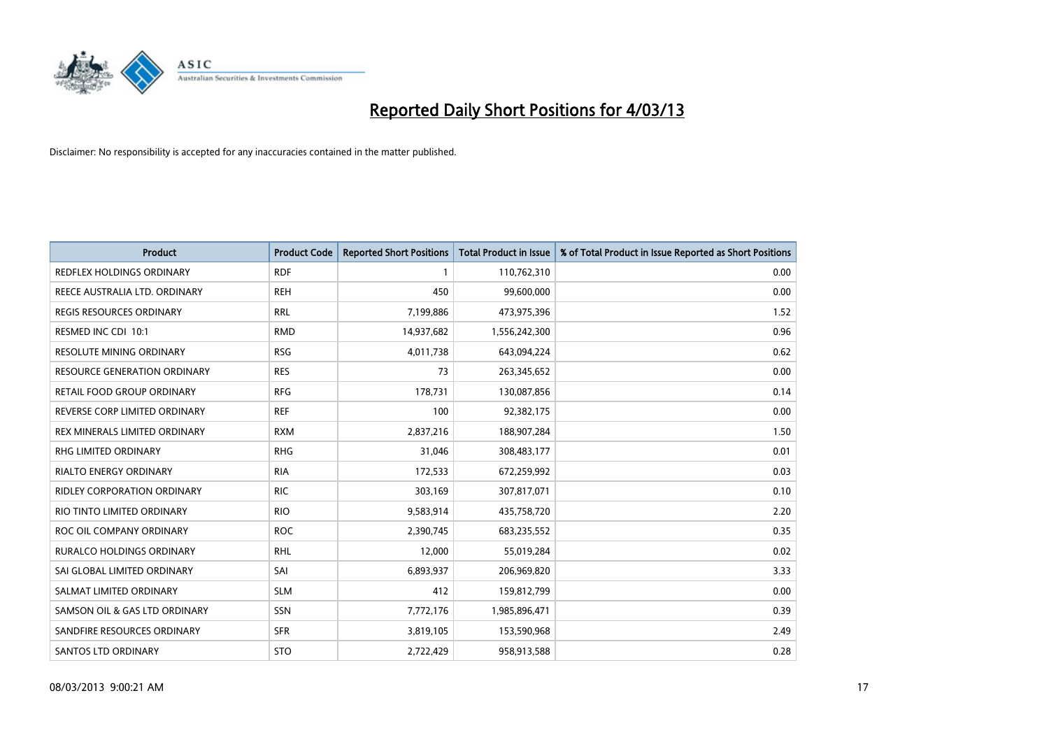

| <b>Product</b>                      | <b>Product Code</b> | <b>Reported Short Positions</b> | <b>Total Product in Issue</b> | % of Total Product in Issue Reported as Short Positions |
|-------------------------------------|---------------------|---------------------------------|-------------------------------|---------------------------------------------------------|
| REDFLEX HOLDINGS ORDINARY           | <b>RDF</b>          |                                 | 110,762,310                   | 0.00                                                    |
| REECE AUSTRALIA LTD. ORDINARY       | <b>REH</b>          | 450                             | 99,600,000                    | 0.00                                                    |
| <b>REGIS RESOURCES ORDINARY</b>     | <b>RRL</b>          | 7,199,886                       | 473,975,396                   | 1.52                                                    |
| RESMED INC CDI 10:1                 | <b>RMD</b>          | 14,937,682                      | 1,556,242,300                 | 0.96                                                    |
| <b>RESOLUTE MINING ORDINARY</b>     | <b>RSG</b>          | 4,011,738                       | 643,094,224                   | 0.62                                                    |
| <b>RESOURCE GENERATION ORDINARY</b> | <b>RES</b>          | 73                              | 263,345,652                   | 0.00                                                    |
| RETAIL FOOD GROUP ORDINARY          | <b>RFG</b>          | 178,731                         | 130,087,856                   | 0.14                                                    |
| REVERSE CORP LIMITED ORDINARY       | <b>REF</b>          | 100                             | 92,382,175                    | 0.00                                                    |
| REX MINERALS LIMITED ORDINARY       | <b>RXM</b>          | 2,837,216                       | 188,907,284                   | 1.50                                                    |
| <b>RHG LIMITED ORDINARY</b>         | <b>RHG</b>          | 31,046                          | 308,483,177                   | 0.01                                                    |
| RIALTO ENERGY ORDINARY              | <b>RIA</b>          | 172,533                         | 672,259,992                   | 0.03                                                    |
| RIDLEY CORPORATION ORDINARY         | <b>RIC</b>          | 303,169                         | 307,817,071                   | 0.10                                                    |
| RIO TINTO LIMITED ORDINARY          | <b>RIO</b>          | 9,583,914                       | 435,758,720                   | 2.20                                                    |
| ROC OIL COMPANY ORDINARY            | <b>ROC</b>          | 2,390,745                       | 683,235,552                   | 0.35                                                    |
| <b>RURALCO HOLDINGS ORDINARY</b>    | <b>RHL</b>          | 12.000                          | 55,019,284                    | 0.02                                                    |
| SAI GLOBAL LIMITED ORDINARY         | SAI                 | 6,893,937                       | 206,969,820                   | 3.33                                                    |
| SALMAT LIMITED ORDINARY             | <b>SLM</b>          | 412                             | 159,812,799                   | 0.00                                                    |
| SAMSON OIL & GAS LTD ORDINARY       | SSN                 | 7,772,176                       | 1,985,896,471                 | 0.39                                                    |
| SANDFIRE RESOURCES ORDINARY         | <b>SFR</b>          | 3,819,105                       | 153,590,968                   | 2.49                                                    |
| <b>SANTOS LTD ORDINARY</b>          | <b>STO</b>          | 2,722,429                       | 958,913,588                   | 0.28                                                    |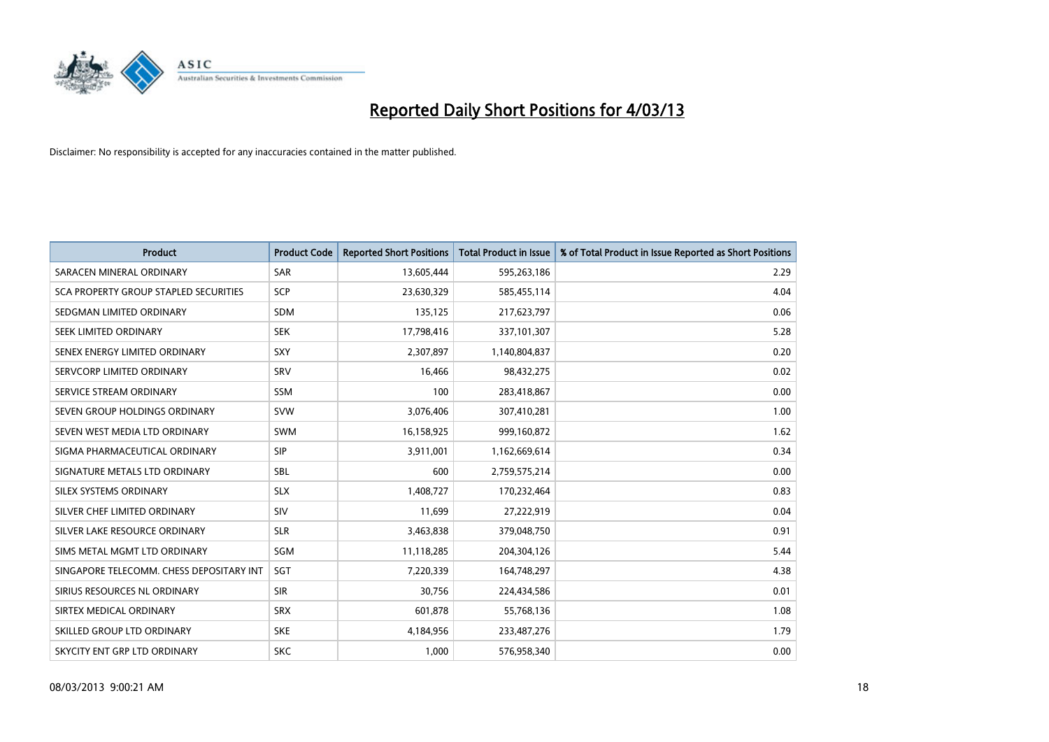

| <b>Product</b>                           | <b>Product Code</b> | <b>Reported Short Positions</b> | <b>Total Product in Issue</b> | % of Total Product in Issue Reported as Short Positions |
|------------------------------------------|---------------------|---------------------------------|-------------------------------|---------------------------------------------------------|
| SARACEN MINERAL ORDINARY                 | <b>SAR</b>          | 13,605,444                      | 595,263,186                   | 2.29                                                    |
| SCA PROPERTY GROUP STAPLED SECURITIES    | <b>SCP</b>          | 23,630,329                      | 585,455,114                   | 4.04                                                    |
| SEDGMAN LIMITED ORDINARY                 | <b>SDM</b>          | 135,125                         | 217,623,797                   | 0.06                                                    |
| SEEK LIMITED ORDINARY                    | <b>SEK</b>          | 17,798,416                      | 337,101,307                   | 5.28                                                    |
| SENEX ENERGY LIMITED ORDINARY            | <b>SXY</b>          | 2,307,897                       | 1,140,804,837                 | 0.20                                                    |
| SERVCORP LIMITED ORDINARY                | SRV                 | 16,466                          | 98,432,275                    | 0.02                                                    |
| SERVICE STREAM ORDINARY                  | <b>SSM</b>          | 100                             | 283,418,867                   | 0.00                                                    |
| SEVEN GROUP HOLDINGS ORDINARY            | <b>SVW</b>          | 3,076,406                       | 307,410,281                   | 1.00                                                    |
| SEVEN WEST MEDIA LTD ORDINARY            | <b>SWM</b>          | 16,158,925                      | 999,160,872                   | 1.62                                                    |
| SIGMA PHARMACEUTICAL ORDINARY            | <b>SIP</b>          | 3,911,001                       | 1,162,669,614                 | 0.34                                                    |
| SIGNATURE METALS LTD ORDINARY            | <b>SBL</b>          | 600                             | 2,759,575,214                 | 0.00                                                    |
| SILEX SYSTEMS ORDINARY                   | <b>SLX</b>          | 1,408,727                       | 170,232,464                   | 0.83                                                    |
| SILVER CHEF LIMITED ORDINARY             | SIV                 | 11,699                          | 27,222,919                    | 0.04                                                    |
| SILVER LAKE RESOURCE ORDINARY            | <b>SLR</b>          | 3,463,838                       | 379,048,750                   | 0.91                                                    |
| SIMS METAL MGMT LTD ORDINARY             | <b>SGM</b>          | 11,118,285                      | 204,304,126                   | 5.44                                                    |
| SINGAPORE TELECOMM. CHESS DEPOSITARY INT | SGT                 | 7,220,339                       | 164,748,297                   | 4.38                                                    |
| SIRIUS RESOURCES NL ORDINARY             | <b>SIR</b>          | 30,756                          | 224,434,586                   | 0.01                                                    |
| SIRTEX MEDICAL ORDINARY                  | <b>SRX</b>          | 601,878                         | 55,768,136                    | 1.08                                                    |
| SKILLED GROUP LTD ORDINARY               | <b>SKE</b>          | 4,184,956                       | 233,487,276                   | 1.79                                                    |
| SKYCITY ENT GRP LTD ORDINARY             | <b>SKC</b>          | 1.000                           | 576.958.340                   | 0.00                                                    |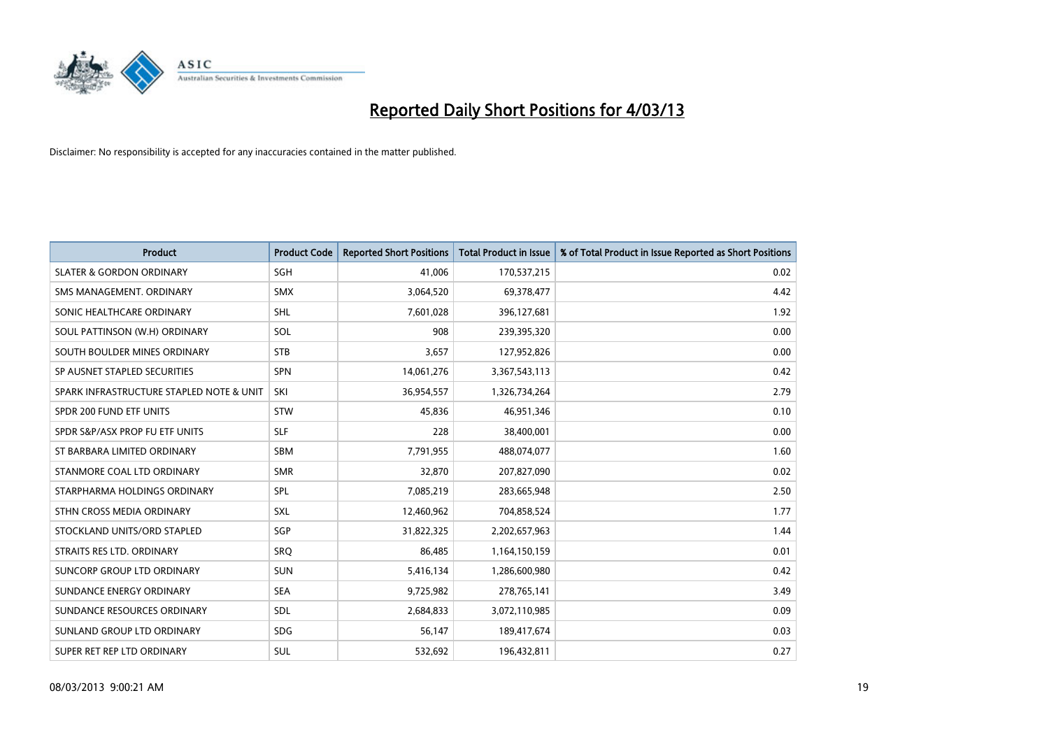

| <b>Product</b>                           | <b>Product Code</b> | <b>Reported Short Positions</b> | <b>Total Product in Issue</b> | % of Total Product in Issue Reported as Short Positions |
|------------------------------------------|---------------------|---------------------------------|-------------------------------|---------------------------------------------------------|
| <b>SLATER &amp; GORDON ORDINARY</b>      | <b>SGH</b>          | 41.006                          | 170,537,215                   | 0.02                                                    |
| SMS MANAGEMENT. ORDINARY                 | <b>SMX</b>          | 3,064,520                       | 69,378,477                    | 4.42                                                    |
| SONIC HEALTHCARE ORDINARY                | <b>SHL</b>          | 7,601,028                       | 396,127,681                   | 1.92                                                    |
| SOUL PATTINSON (W.H) ORDINARY            | SOL                 | 908                             | 239,395,320                   | 0.00                                                    |
| SOUTH BOULDER MINES ORDINARY             | <b>STB</b>          | 3,657                           | 127,952,826                   | 0.00                                                    |
| SP AUSNET STAPLED SECURITIES             | <b>SPN</b>          | 14,061,276                      | 3,367,543,113                 | 0.42                                                    |
| SPARK INFRASTRUCTURE STAPLED NOTE & UNIT | SKI                 | 36,954,557                      | 1,326,734,264                 | 2.79                                                    |
| SPDR 200 FUND ETF UNITS                  | <b>STW</b>          | 45,836                          | 46,951,346                    | 0.10                                                    |
| SPDR S&P/ASX PROP FU ETF UNITS           | <b>SLF</b>          | 228                             | 38,400,001                    | 0.00                                                    |
| ST BARBARA LIMITED ORDINARY              | <b>SBM</b>          | 7,791,955                       | 488,074,077                   | 1.60                                                    |
| STANMORE COAL LTD ORDINARY               | <b>SMR</b>          | 32,870                          | 207,827,090                   | 0.02                                                    |
| STARPHARMA HOLDINGS ORDINARY             | <b>SPL</b>          | 7,085,219                       | 283,665,948                   | 2.50                                                    |
| STHN CROSS MEDIA ORDINARY                | <b>SXL</b>          | 12,460,962                      | 704,858,524                   | 1.77                                                    |
| STOCKLAND UNITS/ORD STAPLED              | SGP                 | 31,822,325                      | 2,202,657,963                 | 1.44                                                    |
| STRAITS RES LTD. ORDINARY                | SRO                 | 86.485                          | 1,164,150,159                 | 0.01                                                    |
| SUNCORP GROUP LTD ORDINARY               | <b>SUN</b>          | 5,416,134                       | 1,286,600,980                 | 0.42                                                    |
| SUNDANCE ENERGY ORDINARY                 | <b>SEA</b>          | 9,725,982                       | 278,765,141                   | 3.49                                                    |
| SUNDANCE RESOURCES ORDINARY              | <b>SDL</b>          | 2,684,833                       | 3,072,110,985                 | 0.09                                                    |
| SUNLAND GROUP LTD ORDINARY               | <b>SDG</b>          | 56,147                          | 189,417,674                   | 0.03                                                    |
| SUPER RET REP LTD ORDINARY               | SUL                 | 532.692                         | 196,432,811                   | 0.27                                                    |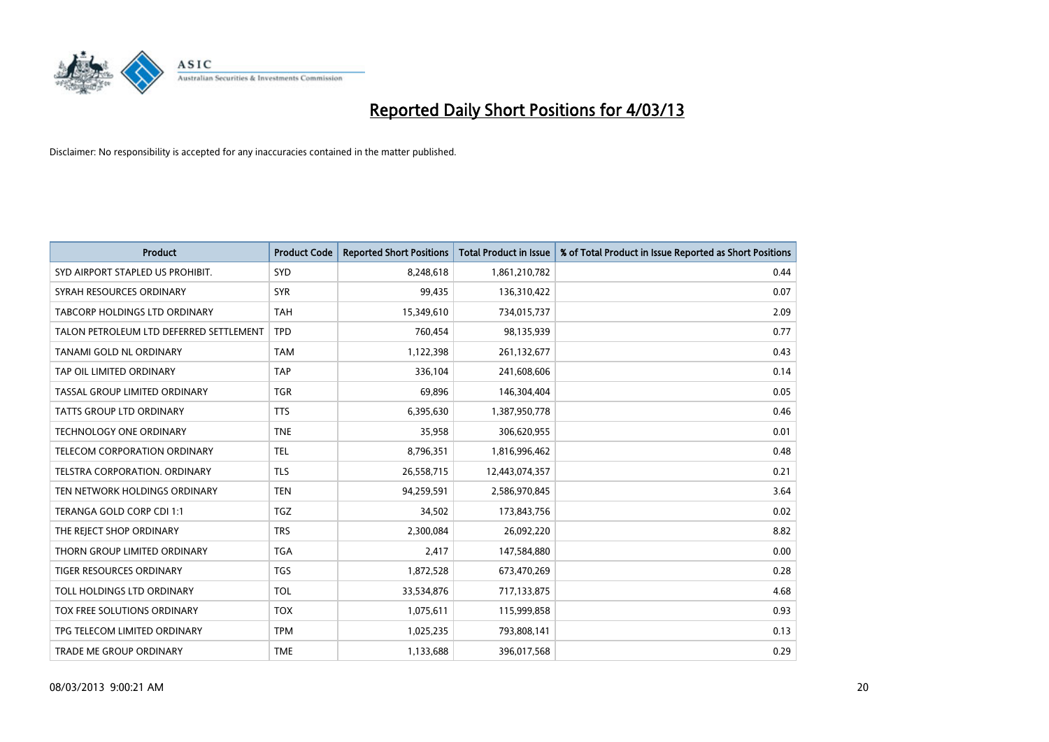

| <b>Product</b>                          | <b>Product Code</b> | <b>Reported Short Positions</b> | <b>Total Product in Issue</b> | % of Total Product in Issue Reported as Short Positions |
|-----------------------------------------|---------------------|---------------------------------|-------------------------------|---------------------------------------------------------|
| SYD AIRPORT STAPLED US PROHIBIT.        | SYD                 | 8,248,618                       | 1,861,210,782                 | 0.44                                                    |
| SYRAH RESOURCES ORDINARY                | <b>SYR</b>          | 99,435                          | 136,310,422                   | 0.07                                                    |
| TABCORP HOLDINGS LTD ORDINARY           | <b>TAH</b>          | 15,349,610                      | 734,015,737                   | 2.09                                                    |
| TALON PETROLEUM LTD DEFERRED SETTLEMENT | <b>TPD</b>          | 760,454                         | 98,135,939                    | 0.77                                                    |
| <b>TANAMI GOLD NL ORDINARY</b>          | <b>TAM</b>          | 1,122,398                       | 261,132,677                   | 0.43                                                    |
| TAP OIL LIMITED ORDINARY                | <b>TAP</b>          | 336,104                         | 241,608,606                   | 0.14                                                    |
| TASSAL GROUP LIMITED ORDINARY           | <b>TGR</b>          | 69,896                          | 146,304,404                   | 0.05                                                    |
| TATTS GROUP LTD ORDINARY                | <b>TTS</b>          | 6,395,630                       | 1,387,950,778                 | 0.46                                                    |
| <b>TECHNOLOGY ONE ORDINARY</b>          | <b>TNE</b>          | 35,958                          | 306,620,955                   | 0.01                                                    |
| TELECOM CORPORATION ORDINARY            | <b>TEL</b>          | 8,796,351                       | 1,816,996,462                 | 0.48                                                    |
| TELSTRA CORPORATION. ORDINARY           | <b>TLS</b>          | 26,558,715                      | 12,443,074,357                | 0.21                                                    |
| TEN NETWORK HOLDINGS ORDINARY           | <b>TEN</b>          | 94,259,591                      | 2,586,970,845                 | 3.64                                                    |
| TERANGA GOLD CORP CDI 1:1               | <b>TGZ</b>          | 34,502                          | 173,843,756                   | 0.02                                                    |
| THE REJECT SHOP ORDINARY                | <b>TRS</b>          | 2,300,084                       | 26,092,220                    | 8.82                                                    |
| THORN GROUP LIMITED ORDINARY            | <b>TGA</b>          | 2,417                           | 147,584,880                   | 0.00                                                    |
| TIGER RESOURCES ORDINARY                | <b>TGS</b>          | 1,872,528                       | 673,470,269                   | 0.28                                                    |
| TOLL HOLDINGS LTD ORDINARY              | <b>TOL</b>          | 33,534,876                      | 717,133,875                   | 4.68                                                    |
| TOX FREE SOLUTIONS ORDINARY             | <b>TOX</b>          | 1,075,611                       | 115,999,858                   | 0.93                                                    |
| TPG TELECOM LIMITED ORDINARY            | <b>TPM</b>          | 1,025,235                       | 793,808,141                   | 0.13                                                    |
| TRADE ME GROUP ORDINARY                 | <b>TME</b>          | 1,133,688                       | 396,017,568                   | 0.29                                                    |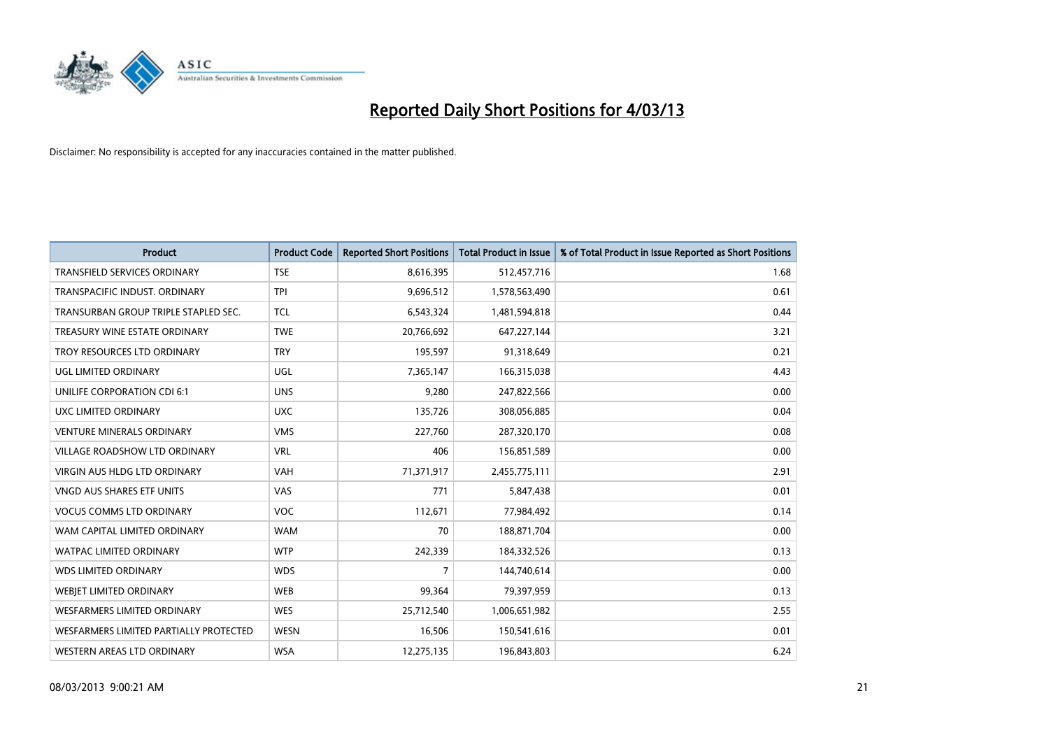

| <b>Product</b>                         | <b>Product Code</b> | <b>Reported Short Positions</b> | <b>Total Product in Issue</b> | % of Total Product in Issue Reported as Short Positions |
|----------------------------------------|---------------------|---------------------------------|-------------------------------|---------------------------------------------------------|
| <b>TRANSFIELD SERVICES ORDINARY</b>    | <b>TSE</b>          | 8,616,395                       | 512,457,716                   | 1.68                                                    |
| TRANSPACIFIC INDUST. ORDINARY          | <b>TPI</b>          | 9,696,512                       | 1,578,563,490                 | 0.61                                                    |
| TRANSURBAN GROUP TRIPLE STAPLED SEC.   | <b>TCL</b>          | 6,543,324                       | 1,481,594,818                 | 0.44                                                    |
| TREASURY WINE ESTATE ORDINARY          | <b>TWE</b>          | 20,766,692                      | 647,227,144                   | 3.21                                                    |
| TROY RESOURCES LTD ORDINARY            | <b>TRY</b>          | 195,597                         | 91,318,649                    | 0.21                                                    |
| UGL LIMITED ORDINARY                   | UGL                 | 7,365,147                       | 166,315,038                   | 4.43                                                    |
| UNILIFE CORPORATION CDI 6:1            | <b>UNS</b>          | 9,280                           | 247,822,566                   | 0.00                                                    |
| UXC LIMITED ORDINARY                   | <b>UXC</b>          | 135,726                         | 308,056,885                   | 0.04                                                    |
| <b>VENTURE MINERALS ORDINARY</b>       | <b>VMS</b>          | 227,760                         | 287,320,170                   | 0.08                                                    |
| <b>VILLAGE ROADSHOW LTD ORDINARY</b>   | <b>VRL</b>          | 406                             | 156,851,589                   | 0.00                                                    |
| <b>VIRGIN AUS HLDG LTD ORDINARY</b>    | <b>VAH</b>          | 71,371,917                      | 2,455,775,111                 | 2.91                                                    |
| VNGD AUS SHARES ETF UNITS              | <b>VAS</b>          | 771                             | 5,847,438                     | 0.01                                                    |
| <b>VOCUS COMMS LTD ORDINARY</b>        | <b>VOC</b>          | 112,671                         | 77,984,492                    | 0.14                                                    |
| WAM CAPITAL LIMITED ORDINARY           | <b>WAM</b>          | 70                              | 188,871,704                   | 0.00                                                    |
| <b>WATPAC LIMITED ORDINARY</b>         | <b>WTP</b>          | 242,339                         | 184,332,526                   | 0.13                                                    |
| <b>WDS LIMITED ORDINARY</b>            | <b>WDS</b>          | 7                               | 144,740,614                   | 0.00                                                    |
| WEBJET LIMITED ORDINARY                | <b>WEB</b>          | 99,364                          | 79,397,959                    | 0.13                                                    |
| <b>WESFARMERS LIMITED ORDINARY</b>     | <b>WES</b>          | 25,712,540                      | 1,006,651,982                 | 2.55                                                    |
| WESFARMERS LIMITED PARTIALLY PROTECTED | <b>WESN</b>         | 16,506                          | 150,541,616                   | 0.01                                                    |
| WESTERN AREAS LTD ORDINARY             | <b>WSA</b>          | 12,275,135                      | 196,843,803                   | 6.24                                                    |